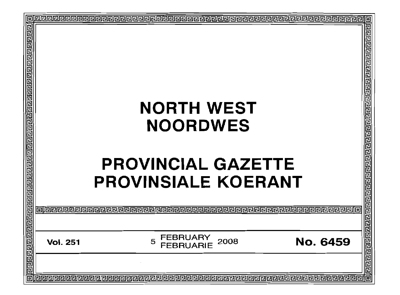| 已<br>ग्वर् ब्रियेन प्राप्तवाद्य ब्रियेन प्राप्तविद्यान ब्रिय |                 |                                   |                 |  |
|--------------------------------------------------------------|-----------------|-----------------------------------|-----------------|--|
|                                                              |                 | <b>NORTH WEST</b>                 |                 |  |
|                                                              |                 | <b>NOORDWES</b>                   |                 |  |
|                                                              |                 |                                   |                 |  |
|                                                              |                 | <b>PROVINCIAL GAZETTE</b>         |                 |  |
|                                                              |                 | <b>PROVINSIALE KOERANT</b>        |                 |  |
|                                                              | 可使使使            |                                   |                 |  |
|                                                              |                 |                                   |                 |  |
| ग बाग बाग बाग बाग बाग बाग                                    | <b>Vol. 251</b> | FEBRUARY<br>5<br>2008<br>EBRUARIE | <b>No. 6459</b> |  |
|                                                              |                 |                                   |                 |  |
| l To                                                         |                 |                                   |                 |  |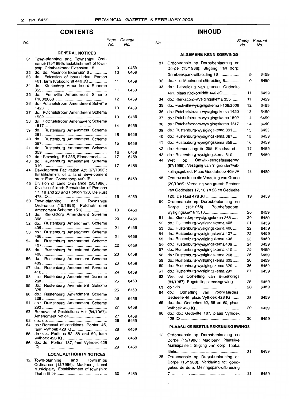6459

6459

## **CONTENTS**

#### No. *Page Gazette* **GENERAL NOTICES** 31 Town-planning and Townships Ordinance (15/1986): Establishment of township: Grimbeekpark Extension 18 .......... 32 do.: do.: Mooinooi Extension 6 . 33 do.: Extension of boundaries: Portion 461, farm Krokodildrift 446 Ja . 34 do.: Klerksdorp Amendment Scheme 355 .. 35 do.: Fochville Amendment Scheme F106/2008 . 36 do.: Potchefstroom Amendment Scheme 1420 . 37 do.: Potchefstroom Amendment Scheme 1502 .. 38 do.: Potchefstroom Amendment Scheme 1517 . 39 do.: Rustenburg Amendment Scheme 391 . 40 do.: Rustenburg Amendment Scheme 387 .. 41 do.: Rustenburg Amendment Scheme 359 . 42 do.: Rezoning: Erf 255, Elandsrand........ 43 do.: Rustenburg Amendment Scheme 310 .. 44 Development Facilitation Act (67/1995): Establishment of a land development area: Farm Goedehoop 409 JP . 45 Division of Land Ordinance (20/1986): Division of land: Remainder of Portions 17, 18 and 23 and Portion 120, De Rust 478 Ja . 50 Town-planning and Ordinance (15/1986): Potchefstroom Amendment Scheme 1516 . 51 do.: Klerksdorp Amendment Scheme 368 . 52 do.: Rustenburg Amendment Scheme 405 .. 53 do.: Rustenburg Amendment Scheme 406 . 54 do.: Rustenburg Amendment Scheme 407 . 55 do.: Rustenburg Amendment Scheme 408 . 56 do.: Rustenburg Amendment Scheme 409 . 57 do.: Rustenburg Amendment Scheme 410 . 58 do.: Rustenburg Amendment Scheme 268 .. 59 do.: Rustenburg Amendment Scheme 325 . 60 do.: Rustenburg Amendment Scheme 329 .. 61 do.: Rustenburg Amendment Scheme 293 .. 62 Removal of Restrictions Act (84/1967): Amendment Notice .. 63 do.: do .. 64 do.: Removal of conditions: Portion 46, farm Vyfhoek 428 la . 65 do.: do.: Portions 52, 58 and 60, farm Vyfhoek 428 la . 66 do.: do.: Portion 187, farm Vyfhoek 428 la .. **LOCAL AUTHORITY NOTICES** 12 Town-planning and Townships 9 10 11 11 12 13 13 14 15 15 16 17 17 18 19 19 20 21 21 22 23 23 24 25 25 26 27 27 28 28 29 29

Ordinance (15/1986): Madibeng Local Municipality: Establishment of township: Thaba Ithile ..

## **INHOUD**

#### Page Gazette<br>No. No. No. No. No. 2006 - No. No. No. No. No.  $No.$

#### **ALGEMENE KENNISGEWINGS**

| 31       | Ordonnansie op Dorpsbeplanning en<br>Dorpe (15/1986): Stigting van dorp:   |    |      |
|----------|----------------------------------------------------------------------------|----|------|
|          | Grimbeekpark-uitbreiding 18                                                | 9  | 6459 |
| 32<br>33 | do.: do.: Mooinoooi-uitbreiding 6<br>do.: Uitbreiding van grense: Gedeelte | 10 | 6459 |
|          | 461, plaas Krokodildrift 446 JQ                                            | 11 | 6459 |
| 34       | do.: Klerksdorp-wysigingskema 355                                          | 11 | 6459 |
| 35       | do.: Fochville-wysigingskema F106/2008                                     | 12 | 6459 |
| 36       | do.: Potchefstroom-wysigingskema 1420                                      | 13 | 6459 |
| 37       | do.: Potchefstroom-wysigingskema 1502                                      | 14 | 6459 |
|          |                                                                            |    |      |
| 38       | do.: Potchefstroom-wysigingskema 1517                                      | 14 | 6459 |
| 39       | do.: Rustenburg-wysigingskema 391                                          | 15 | 6459 |
| 40       | do.: Rustenburg-wysigingskema 387                                          | 15 | 6459 |
| 41       | do.: Rustenburg-wysigingskema 359                                          | 16 | 6459 |
| 42       | do.: Hersonering: Erf 255, Elandsrand                                      | 17 | 6459 |
| 43       | do.: Rustenburg-wysigingskema 310                                          | 17 | 6459 |
| 44       | Ontwikkelingsfasilitering<br>Wet<br>op                                     |    |      |
|          | (67/1995): Vestiging van 'n grondontwik-                                   |    |      |
|          | kelingsgebied: Plaas Goedehoop 409 JP                                      | 18 | 6459 |
| 45       | Ordonnansie op die Verdeling van Grond                                     |    |      |
|          | (20/1986): Verdeling van grond: Restant                                    |    |      |
|          | van Gedeeltes 17, 18 en 23 en Gedeelte                                     |    |      |
|          | 120, De Rust 478 JQ                                                        | 19 | 6459 |
| 50       | Ordonnansie op Dorpsbeplanning en                                          |    |      |
|          | (15/1986):<br>Potchefstroom:<br>Dorpe                                      |    |      |
|          | wysigingskema 1516                                                         | 20 | 6459 |
| 51       | do.: Klerksdorp-wysigingskema 368                                          | 20 | 6459 |
| 52       | do.: Rustenburg-wysigingskema 405                                          | 21 | 6459 |
| 53       | do.: Rustenburg-wysigingskema 406                                          | 22 | 6459 |
| 54       | do.: Rustenburg-wysigingskema 407                                          | 22 | 6459 |
| 55       | do.: Rustenburg-wysigingskema 408                                          | 23 | 6459 |
| 56       | do.: Rustenburg-wysigingskema 409                                          | 24 | 6459 |
| 57       | do.: Rustenburg-wysigingskema 410                                          | 25 | 6459 |
| 58       | do.: Rustenburg-wysigingskema 268                                          | 25 | 6459 |
| 59       | do.: Rustenburg-wysigingskema 325                                          | 26 | 6459 |
| 60       | do.: Rustenburg-wysigingskema 329                                          | 26 | 6459 |
| 61<br>62 | do.: Rustenburg-wysigingskema 293                                          | 27 | 6459 |
|          | op Opheffing van Beperkings<br>Wet<br>(84/1967): Regstellingskennisgewing  | 28 | 6459 |
| 63       |                                                                            | 28 | 6459 |
| 64       | Opheffing van voorwaardes:<br>do.:                                         |    |      |
|          | Gedeelte 46, plaas Vyfhoek 428 IQ                                          | 28 | 6459 |
| 65       | do.: do.: Gedeeltes 52, 58 en 60, plaas                                    |    |      |
|          |                                                                            | 29 | 6459 |
| 66       | do.: do.: Gedeelte 187, plaas Vyfhoek                                      |    |      |
|          |                                                                            | 30 | 6459 |
|          | PLAASLIKE BESTUURSKENNISGEWINGS                                            |    |      |
| 12       | Ordonnansie op Dorpsbeplanning en                                          |    |      |
|          | Dorpe (15/1986): Madibeng Plaaslike                                        |    |      |
|          | Munisipaliteit: Stigting van dorp: Thaba                                   |    |      |
|          |                                                                            | 31 | 6459 |
| 25       | Ordonnansie op Dorpsbeplanning en                                          |    |      |
|          | Dorpe (15/1986): Verklaring tot goed-                                      |    |      |
|          | gekeurde dorp: Meiringspark-uitbreiding                                    |    |      |
|          |                                                                            | 31 | 6459 |

6459

30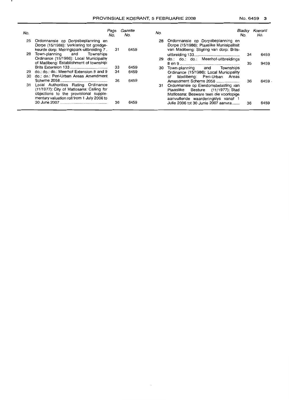$\cdot$ 

| No. |                                                                                                                                                                           | Page<br>No. | Gazette<br>No. | No. |                                                                                                                                                                                       | Bladsv<br>No. | Koerant<br>No. |
|-----|---------------------------------------------------------------------------------------------------------------------------------------------------------------------------|-------------|----------------|-----|---------------------------------------------------------------------------------------------------------------------------------------------------------------------------------------|---------------|----------------|
| 25  | Ordonnansie op Dorpsbeplanning en<br>Dorpe (15/1986): Verklaring tot goedge-<br>keurde dorp: Meiringspark-uitbreiding 7.                                                  | -31         | 6459           |     | 28 Ordonnansie op Dorpsbeplanning en<br>Dorpe (15/1986): Plaaslike Munisipaliteit<br>van Madibeng: Stigting van dorp: Brits-                                                          |               |                |
| 28  | Town-planning and Townships<br>Ordinance (15/1986): Local Municipality                                                                                                    |             |                |     | 29 do.: do.: do.: Meerhof-uitbreidings                                                                                                                                                | 34            | 6459           |
|     | of Madibeng: Establishment of township:                                                                                                                                   | 33          | 6459           |     | 30 Town-planning and Townships                                                                                                                                                        | 35            | 9459           |
| 30. | 29 do.: do.: do.: Meerhof Extension 8 and 9<br>do.: do.: Peri-Urban Areas Amendment                                                                                       | 34          | 6459           |     | Ordinance (15/1986): Local Municipality<br>of Madibeng: Peri-Urban Areas                                                                                                              |               |                |
|     | 31 Local Authorities Rating Ordinance<br>(11/1977): City of Matiosana: Calling for<br>objections to the provisional supple-<br>mentary valuation roll from 1 July 2006 to | 36          | 6459           |     | Amendment Scheme 2058<br>31 Ordonnansie op Eiendomsbelasting van<br>Piaaslike Besture (11/1977): Stad<br>Matiosana: Besware teen die voorlopige<br>aanvullende waarderingslys vanaf 1 | 36            | 6459.          |
|     |                                                                                                                                                                           | 36          | 6459           |     | Julie 2006 tot 30 Junie 2007 aanvra                                                                                                                                                   | 36            | 6459           |

 $\sim$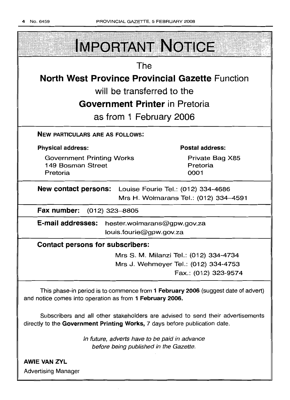| <b>IMPORTANT NOTICE</b>                                                                                                                                       |                                        |  |  |
|---------------------------------------------------------------------------------------------------------------------------------------------------------------|----------------------------------------|--|--|
| The                                                                                                                                                           |                                        |  |  |
| <b>North West Province Provincial Gazette Function</b>                                                                                                        |                                        |  |  |
| will be transferred to the                                                                                                                                    |                                        |  |  |
| <b>Government Printer</b> in Pretoria                                                                                                                         |                                        |  |  |
| as from 1 February 2006                                                                                                                                       |                                        |  |  |
| <b>NEW PARTICULARS ARE AS FOLLOWS:</b>                                                                                                                        |                                        |  |  |
| <b>Physical address:</b>                                                                                                                                      | <b>Postal address:</b>                 |  |  |
| <b>Government Printing Works</b><br>149 Bosman Street                                                                                                         | Private Bag X85<br>Pretoria            |  |  |
| Pretoria                                                                                                                                                      | 0001                                   |  |  |
| New contact persons: Louise Fourie Tel.: (012) 334-4686<br>Mrs H. Wolmarans Tel.: (012) 334-4591                                                              |                                        |  |  |
| Fax number: (012) 323-8805                                                                                                                                    |                                        |  |  |
| <b>E-mail addresses:</b><br>hester.wolmarans@gpw.gov.za<br>louis.fourie@gpw.gov.za                                                                            |                                        |  |  |
| <b>Contact persons for subscribers:</b>                                                                                                                       |                                        |  |  |
|                                                                                                                                                               | Mrs S. M. Milanzi Tel.: (012) 334-4734 |  |  |
|                                                                                                                                                               | Mrs J. Wehmeyer Tel.: (012) 334-4753   |  |  |
|                                                                                                                                                               | Fax.: (012) 323-9574                   |  |  |
| This phase-in period is to commence from 1 February 2006 (suggest date of advert)<br>and notice comes into operation as from 1 February 2006.                 |                                        |  |  |
| Subscribers and all other stakeholders are advised to send their advertisements<br>directly to the Government Printing Works, 7 days before publication date. |                                        |  |  |
| In future, adverts have to be paid in advance<br>before being published in the Gazette.                                                                       |                                        |  |  |
| <b>AWIE VAN ZYL</b>                                                                                                                                           |                                        |  |  |

Advertising Manager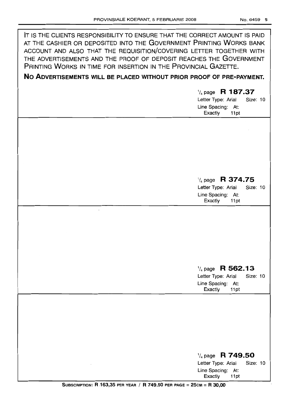| IT IS THE CLIENTS RESPONSIBILITY TO ENSURE THAT THE CORRECT AMOUNT IS PAID<br>AT THE CASHIER OR DEPOSITED INTO THE GOVERNMENT PRINTING WORKS BANK<br>ACCOUNT AND ALSO THAT THE REQUISITION/COVERING LETTER TOGETHER WITH<br>THE ADVERTISEMENTS AND THE PROOF OF DEPOSIT REACHES THE GOVERNMENT<br>PRINTING WORKS IN TIME FOR INSERTION IN THE PROVINCIAL GAZETTE.<br>NO ADVERTISEMENTS WILL BE PLACED WITHOUT PRIOR PROOF OF PRE-PAYMENT. |                                                                                                       |  |
|-------------------------------------------------------------------------------------------------------------------------------------------------------------------------------------------------------------------------------------------------------------------------------------------------------------------------------------------------------------------------------------------------------------------------------------------|-------------------------------------------------------------------------------------------------------|--|
|                                                                                                                                                                                                                                                                                                                                                                                                                                           |                                                                                                       |  |
|                                                                                                                                                                                                                                                                                                                                                                                                                                           | $\frac{1}{4}$ page R 187.37<br>Letter Type: Arial<br>Size: 10<br>Line Spacing: At:<br>Exactly<br>11pt |  |
|                                                                                                                                                                                                                                                                                                                                                                                                                                           |                                                                                                       |  |
|                                                                                                                                                                                                                                                                                                                                                                                                                                           |                                                                                                       |  |
|                                                                                                                                                                                                                                                                                                                                                                                                                                           |                                                                                                       |  |
|                                                                                                                                                                                                                                                                                                                                                                                                                                           |                                                                                                       |  |
|                                                                                                                                                                                                                                                                                                                                                                                                                                           |                                                                                                       |  |
|                                                                                                                                                                                                                                                                                                                                                                                                                                           |                                                                                                       |  |
|                                                                                                                                                                                                                                                                                                                                                                                                                                           | $\frac{1}{4}$ page R 374.75                                                                           |  |
|                                                                                                                                                                                                                                                                                                                                                                                                                                           | Letter Type: Arial<br>Size: 10                                                                        |  |
|                                                                                                                                                                                                                                                                                                                                                                                                                                           | Line Spacing: At:                                                                                     |  |
|                                                                                                                                                                                                                                                                                                                                                                                                                                           | Exactly<br>11pt                                                                                       |  |
|                                                                                                                                                                                                                                                                                                                                                                                                                                           |                                                                                                       |  |
|                                                                                                                                                                                                                                                                                                                                                                                                                                           |                                                                                                       |  |
|                                                                                                                                                                                                                                                                                                                                                                                                                                           |                                                                                                       |  |
|                                                                                                                                                                                                                                                                                                                                                                                                                                           |                                                                                                       |  |
|                                                                                                                                                                                                                                                                                                                                                                                                                                           |                                                                                                       |  |
|                                                                                                                                                                                                                                                                                                                                                                                                                                           |                                                                                                       |  |
|                                                                                                                                                                                                                                                                                                                                                                                                                                           |                                                                                                       |  |
|                                                                                                                                                                                                                                                                                                                                                                                                                                           | $\frac{1}{4}$ page R 562.13                                                                           |  |
|                                                                                                                                                                                                                                                                                                                                                                                                                                           | Letter Type: Arial<br><b>Size: 10</b><br>Line Spacing: At:                                            |  |
|                                                                                                                                                                                                                                                                                                                                                                                                                                           | Exactly<br>11pt                                                                                       |  |
|                                                                                                                                                                                                                                                                                                                                                                                                                                           |                                                                                                       |  |
|                                                                                                                                                                                                                                                                                                                                                                                                                                           |                                                                                                       |  |
|                                                                                                                                                                                                                                                                                                                                                                                                                                           |                                                                                                       |  |
|                                                                                                                                                                                                                                                                                                                                                                                                                                           |                                                                                                       |  |
|                                                                                                                                                                                                                                                                                                                                                                                                                                           |                                                                                                       |  |
|                                                                                                                                                                                                                                                                                                                                                                                                                                           |                                                                                                       |  |
|                                                                                                                                                                                                                                                                                                                                                                                                                                           |                                                                                                       |  |
|                                                                                                                                                                                                                                                                                                                                                                                                                                           | $\frac{1}{4}$ page R 749.50                                                                           |  |
|                                                                                                                                                                                                                                                                                                                                                                                                                                           | Letter Type: Arial<br>Size: 10<br>Line Spacing: At:                                                   |  |

Exactly 11pt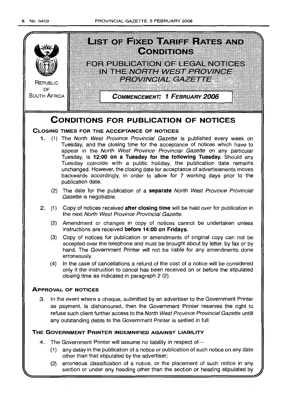

## **THE GOVERNMENT PRINTER INDEMNIFIED AGAINST LIABILITY**

- 4. The Government Printer will assume no liability in respect of-
	- (1) any delay in the publication of a notice or publication of such notice on any date other than that stipulated by the advertiser;
	- (2) erroneous classification of a notice, or the placement of such notice in any section or under any heading other than the section or heading stipulated by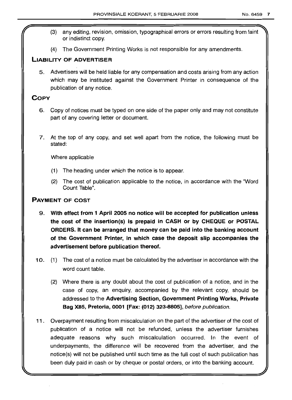- (3) any editing, revision, omission, typographical errors or errors resulting from faint or indistinct copy.
- (4) The Government Printing Works is not responsible for any amendments.

## LIABILITY OF ADVERTISER

5. Advertisers will be held liable for any compensation and costs arising from any action which may be instituted against the Government Printer in consequence of the publication of any notice.

## **COPY**

- 6. Copy of notices must be typed on one side of the paper only and may not constitute part of any covering letter or document.
- 7. At the top of any copy, and set well apart from the notice, the following must be stated:

Where applicable

- (1) The heading under which the notice is to appear.
- (2) The cost of publication applicable to the notice, in accordance with the "Word Count Table".

## PAYMENT OF COST

- 9. With effect from 1 April 2005 no notice will be accepted for publication unless the cost of the insertion(s) is prepaid in CASH or by CHEQUE or POSTAL ORDERS. It can be arranged that money can be paid into the banking account of the Government Printer, in which case the deposit slip accompanies the advertisement before publication thereof.
- 10. (1) The cost of a notice must be calculated by the advertiser in accordance with the word count table.
	- (2) Where there is any doubt about the cost of publication of a notice, and in the case of copy, an enquiry, accompanied by the relevant copy, should be addressed to the Advertising Section, Government Printing Works, Private Bag X8S, Pretoria, 0001 [Fax: (012) 323-8805], before publication.
- 11. Overpayment resulting from miscalculation on the part of the advertiser of the cost of publication of a notice will not be refunded, unless the advertiser furnishes adequate reasons why such miscalculation occurred. In the event of underpayments, the difference will be recovered from the advertiser, and the notice(s) will not be published until such time as the full cost of such publication has been duly paid in cash or by cheque or postal orders, or into the banking account.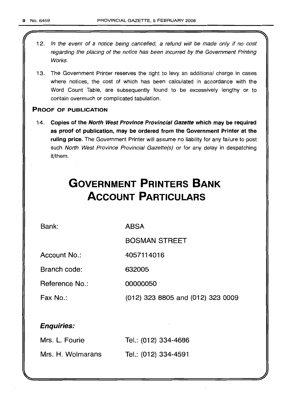- 12. In the event of a notice being cancelled, a refund will be made only if no cost regarding the placing of the notice has been incurred by the Government Printing Works.
- 13. The Government Printer reserves the right to levy an additional charge in cases where notices, the cost of which has been calculated in accordance with the Word Count Table, are subsequently found to be excessively lengthy or to contain overmuch or complicated tabulation.

## PROOF OF PUBLICATION

14. Copies of the North West Province Provincial Gazette which may be required as proof of publication, may be ordered from the Government Printer at the ruling price. The Government Printer will assume no liability for any failure to post such North West Province Provincial Gazette(s) or for any delay in despatching it/them..

## **GOVERNMENT PRINTERS BANK ACCOUNT PARTICULARS**

Bank:

ABSA

BOSMAN STREET

Account No.: 4057114016

Branch code: 632005

Reference No.: 00000050

Fax No.: (012) 323 8805 and (012) 323 0009

## Enquiries:

| Mrs. L. Fourie    | Tel.: (012) 334-4686 |
|-------------------|----------------------|
| Mrs. H. Wolmarans | Tel.: (012) 334-4591 |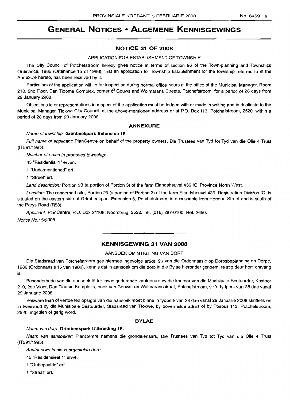## **GENERAL NOTICES • ALGEMENE KENNISGEWINGS**

#### **NOTICE 31 OF 2008**

#### APPLICATION FOR ESTABLISHMENT OF TOWNSHIP

The City Council of Potchefstroom hereby gives notice in terms of section 96 of the Town-planning and Townships Ordinance, 1986 (Ordinance 15 of 1986), that an application for Township Establishment for the township referred to in the Annexure hereto, has been received by it.

Particulars of the application will lie for inspection during normal office hours at the office of the Municipal Manager, Room 210, 2nd Floor, Dan Tloome Complex, corner of Gouws and Wolmarans Streets, Potchefstroom, for a period of 28 days from 29 January 2008.

Objections to or representations in respect of the application must be lodged with or made in writing and in duplicate to the Municipal Manager, Tlokwe City Council, at the above-mentioned address or at P.O. Box 113, Potchefstroom, 2520, within a period of 28 days from 29 January 2008.

#### **ANNEXURE**

#### Name of township: **Grimbeekpark Extension 18.**

Full name of applicant: PlanCentre on behalf of the property owners, Die Trustees van Tyd tot Tyd van die Olie 4 Trust (IT591/1995).

Number of erven in proposed township:

45 "Residential 1" erven.

1 "Undermentioned" ert.

1 "Street" ert.

Land description: Portion 23 (a portion of Portion 3) of the farm Elandsheuvel 436 IQ, Province North West.

Location: The concerned site, Portion 23 (a portion of Portion 3) of the farm Elandsheuvel 436, Registration Division IQ, is situated on the eastern side of Grimbeekpark Extension 6, Potchefstroom, is accessable from Herman Street and is south of the Parys Road (R53).

Applicant: PlanCentre, P.O. Box 21108, Noordbrug, 2522. Tel. (018) 297-0100. Ref. 2650.

Notice No.: 5/2008

#### **KENNISGEWING 31 VAN 2008**

**- .**

#### AANSOEK OM STIGTING VAN DORP

Die Stadsraad van Potchefstroom gee hiermee ingevolge artikel 96 van die Ordonnansie op Dorpsbeplanning en Dorpe, 1986 (Ordonnansie 15 van 1986), kennis dat 'n aansoek om die dorp in die Bylae hieronder genoem, te stig deur hom ontvang is.

Besonderhede van die aansoek Ie ter insae gedurende kantoorure by die kantoor van die Munisipale Bestuurder, Kantoor 210, 2de Vloer, Dan Tloome Kompleks, hoek van Gouws- en Wolmaransstraat, Potchefstroom, vir 'n tydperk van 28 dae vanaf 29 Januarie 2008.

Besware teen of vertoë ten opsigte van die aansoek moet binne 'n tydperk van 28 dae vanaf 29 Januarie 2008 skriftelik en in tweevoud by die Munisipale Bestuurder, Stadsraad van Tlokwe, by bovermelde adres of by Posbus 113, Potchefstroom, 2520, ingedien of gerig word.

#### **BYLAE**

#### Naam van dorp: **Grimbeekpark Uitbreiding 18.**

Naam van aansoeker: PlanCentre namens die grondeienaars, Die Trustees van Tyd tot Tyd van die Olie 4 Trust (IT591/1995).

Aantal erwe in die voorgestelde dorp:

45 "Residensieel 1" erwe.

1 "Onbepaalde" ert.

1 "Straat" ert.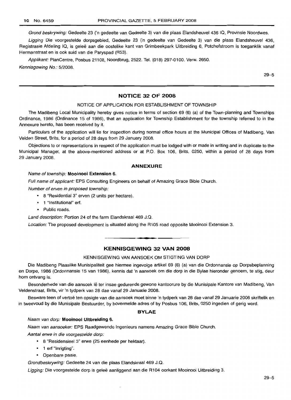Grond beskrywing: Gedeelte 23 ('n gedeelte van Gedeelte 3) van die plaas Elandsheuvel 436 IQ, Provinsie Noordwes.

Ligging Die voorgestelde dorpsgebied, Gedeelte 23 ('n gedeelte van Gedeelte 3) van die plaas Elandsheuvel 436, Registrasie Afdeling IQ, is geleë aan die oostelike kant van Grimbeekpark Uitbreiding 6, Potchefstroom is toeganklik vanaf Hermanstraat en is ook suid van die Paryspad (R53).

Applikant: PlanCentre, Posbus 21108, Noordbrug, 2522. Tel. (018) 297-0100. Verw. 2650. Kennisgewing No.: 5/2008.

29-5

## **NOTICE 32 OF 2008**

#### NOTICE OF APPLICATION FOR ESTABLISHMENT OF TOWNSHIP

The Madibeng Local Municipality hereby gives notice in terms of section 69 (6) (a) of the Town-planning and Townships Ordinance, 1986 (Ordinance 15 of 1986), that an application for Township Establishment for the township referred to in the Annexure hereto, has been received by it.

Particulars of the application will lie for inspection during normal office hours at the Municipal Offices of Madibeng, Van Velden Street, Brits, for a period of 28 days from 29 January 2008.

Objections to or representations in respect of the application must be lodged with or made in writing and in duplicate to the Municipal Manager, at the above-mentioned address or at P.O. Box 106, Brits, 0250, within a period of 28 days from 29 January 2008.

#### **ANNEXURE**

#### Name of township: **Mooinooi Extension** 6.

Full name of applicant: EPS Consulting Engineers on behalf of Amazing Grace Bible Church.

Number of erven in proposed township:

- 8 "Residential 3" erven (2 units per hectare).
- 1 "Institutional" ert.
- Public roads.

Land description: Portion 24 of the farm Elandskraal 469 J.Q.

Location: The proposed development is situated along the R105 road opposite Mooinooi Extension 3.

## **KENNISGEWING 32 VAN 2008**

**1\_**

#### KENNISGEWING VAN AANSOEK OM STIGTING VAN DORP

Die Madibeng Plaaslike Munisipaliteit gee hiermee ingevolge artikel 69 (6) (a) van die Ordonnansie op Dorpsbeplanning en Dorpe, 1986 (Ordonnansie 15 van 1986), kennis dat 'n aansoek om die dorp in die Bylae hieronder genoem, te stig, deur hom ontvang is.

Besonderhede van die aansoek lê ter insae gedurende gewone kantoorure by die Munisipale Kantore van Madibeng, Van Veldenstraat, Brits, vir 'n tydperk van 28 dae vanaf 29 Januarie 2008.

Besware teen of vertoe ten opsigte van die aansoek moet binne 'n tydperk van 28 dae vanaf 29 Januarie 2008 skriftelik en in tweevoud by die Munisipale Bestuurder, by bovermelde adres of by Posbus 106, Brits, 0250 ingedien of gerig word.

#### **BYLAE**

#### Naam van dorp: **Mooinooi Uitbreiding** 6.

Naam van aansoeker: EPS Raadgewende Ingenieurs namens Amazing Grace Bible Church.

Aantal erwe in die voorgestelde dorp:

- 8 "Residensieel 3" erwe (25 eenhede per hektaar).
- 1 erf "Inrigting".
- Openbare paaie.

Grondbeskrywing: Gedeelte 24 van die plaas Elandskraal 469 J.Q.

Ligging: Die voorgestelde dorp is geleë aanliggend aan die R104 oorkant Mooinooi Uitbreiding 3.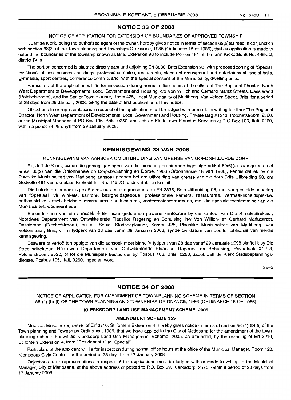## **NOTICE 33 OF 2008**

#### NOTICE OF APPLICATION FOR EXTENSION OF BOUNDARIES OF APPROVED TOWNSHIP

I, Jeff de Klerk, being the authorized agent of the owner, hereby gives notice in terms of section 69(6)(a) read in conjunction with section 88(2) of the Town-planning and Townships Ordinance, 1986 (Ordinance 15 of 1986), that an application is made to extend the boundaries of the township known as Brits Extension 98 to include Portion 461 of the farm Krokodildrift No. 446-JQ, district Brits.

The portion concerned is situated directly east and adjoining Erf 3836, Brits Extension 98, with proposed zoning of "Special" for shops, offices, business buildings, professional suites, restaurants, places of amusement and entertainment, social halls, gymnasia, sport centres, conference centres, and, with the special consent of the Municipality, dwelling units.

Particulars of the application will lie for inspection during normal office hours at the office of The Regional Director: North West Department of Developmental Local Government and Housing, c/o Von Willich and Gerhard Maritz Streets, Dassierand (Potchefstroom), and the Senior Town Planner, Room 425, Local Municipality of Madibeng, Van Velden Street, Brits, for a period of 28 days from 29 January 2008, being the date of first publication of this notice.

Objections to or representations in respect of the application must be lodged with or made in writing to either The Regional Director: North West Department of Developmental Local Government and Housing, Private Bag X1213, Potchefstroom, 2520, or the Municipal Manager at PO Box 106, Brits, 0250, and Jeff de Klerk Town Planning Services at POBox 105, Ifafi, 0260, within a period of 28 days from 29 January 2008.

#### **KENNISGEWING 33 VAN 2008**

.**- .**

## KENNISGEWING VAN AANSOEK OM UITBREIDING VAN GRENSE VAN GOEDGEKEURDE DORP

Ek, Jeff de Klerk, synde die gemagtigde agent van die eienaar, gee hiermee ingevolge artikel 69(6)(a) saamgelees met artikel 88(2) van die Ordonnansie op Dorpsbeplanning en Dorpe, 1986 (Ordonnansie 15 van 1986), kennis dat ek by die Plaaslike Munisipaliteit van Madibeng aansoek gedoen het om uitbreiding van grense van die dorp Brits Uitbreiding 98, om Gedeelte 461 van die plaas Krokodildrift No. 446-JQ, distrik Brits, in te sluit.

Die betrokke eiendom is gelee direk oos en aangrensend aan Erf 3836, Brits Uitbreiding 98, met voorgestelde sonering van "Spesiaal" vir winkels, kantore, besigheidsgeboue, professionele kamers, restaurante, vermaaklikheidsplekke, onthaalplekke, geseligheidsale, gimnasiums, sportsentrums, konferensiesentrums en, met die spesiale toestemming van die Munisipaliteit, wooneenhede.

Besonderhede van die aansoek lê ter insae gedurende gewone kantoorure by die kantoor van Die Streeksdirekteur, Noordwes Departement van Ontwikkelende Plaaslike Regering en Behuising, h/v Von Willich- en Gerhard Maritzstraat, Dassierand (Potchefstroom), en die Senior Stadsbeplanner, Kamer 425, Plaaslike Munisipaliteit van Madibeng, Van Veldenstraat, Brits, vir 'n tydperk van 28 dae vanaf 29 Januarie 2008, synde die datum van eerste publikasie van hierdie kennisgewing.

Besware of vertoë ten opsigte van die aansoek moet binne 'n tydperk van 28 dae vanaf 29 Januarie 2008 skriftelik by Die Streeksdirekteur, Noordwes Departement van Ontwikkelende Plaaslike Regering en Behuising, Privaatsak X1213, Potchefstroom, 2520, of tot die Munisipale Bestuurder by Posbus 106, Brits, 0250, asook Jeff de Klerk Stadsbeplanningsdienste, Posbus 105, Ifafi, 0260, ingedien word.

29-5

## **NOTICE 34 OF 2008**

NOTICE OF APPLICATION FOR AMENDMENT OF TOWN-PLANNING SCHEME IN TERMS OF SECTION 56 (1) (b) (i) OF THE TOWN-PLANNING AND TOWNSHIPS ORIDNANCE, 1986 (ORDINANCE 15 OF 1986)

#### **KLERKSDORP LAND USE MANAGEMENT SCHEME, 2005**

#### **AMENDMENT SCHEME 355**

Mrs. L.J. Einkamerer, owner of Erf 3210, Stilfontein Extension 4, hereby gives notice in terms of section 56 (1) (b) (i) of the Town-planning and Townships Ordinance, 1986, that we have applied to the City of Matlosana for the amendment of the townplanning scheme known as Klerksdorp Land Use Management Scheme, 2005, as amended, by the rezoning of Erf 3210, Stilfontein Extension 4, from "Residential 1" to "Special".

Particulars of the applicant will lie for inspection during normal office hours at the office of the Municipal Manager, Room 128, Klerksdorp Civic Centre, for the period of 28 days from 17 January 2008.

Objections to or representations in respect of the applications must be lodged with or made in writing to the Municipal Manager, City of Matlosana, at the above address or posted to P.O. Box 99, Klerksdorp, 2570, within a period of 28 days from 17 January 2008.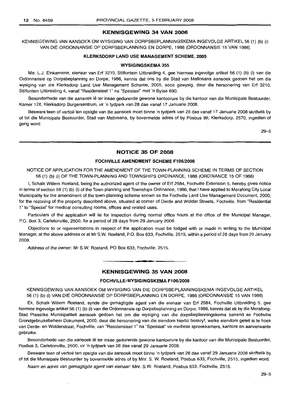#### KENNISGEWING 34 VAN 2008

KENNISGEWING VAN AANSOEK OM WYSIGING VAN DORPSBEPLANNINGSKEMA INGEVOLGE ARTIKEL 56 (1) (b) (i) VAN DIE ORDONNANSIE OP DORPSBEPLANNING EN DORPE, 1986 (ORDONNANSIE 15 VAN 1986)

#### KLERKSDORP LAND USE MANAGEMENT SCHEME, 2005

#### WYSIGINGSKEMA 355

Me. L.J. Einkamerer, eienaar van Erf 3210, Stilfontein Uitbreiding 4, gee hiermee ingevolge artikel 56 (1) (b) (i) van die Ordonnansie op Dorpsbeplanning en Dorpe, 1986, kennis dat ons by die Stad van Matlosana aansoek gedoen het om die wysiging van die Klerksdorp Land Use Management Scheme, 2005, soos gewysig, deur die hersonering van Erf 3210, Stilfontein Uitbreiding 4, vanaf "Residensieel 1" na "Spesiaal" met 'n Bylae 690.

Besonderhede van die aansoek lê ter insae gedurende gewone kantoorure by die kantoor van die Munisipale Bestuurder, Kamer 128, Klerksdorp Burgersentrum, vir 'n tydperk van 28 dae vanaf 17 Januarie 2008.

Besware teen of vertoe ten opsigte van die aansoek moet binne 'n tydperk van 28 dae vanaf 17 Januarie 2008 skriftelik by of tot die Munisipale Bestuurder, Stad van Matlosana, by bovermelde adres of by Posbus 99, Klerksdorp, 2570, ingedien of gerig word.

29-5

## NOTICE 35 OF 2008

#### FOCHVILLE AMENDMENT SCHEME Fl0G/2008

NOTICE OF APPLICATION FOR THE AMENDMENT OF THE TOWN-PLANNING SCHEME IN TERMS OF SECTION 56 (1) (b) (i) OF THE TOWN-PLANNING AND TOWNSHIPS ORDINANCE, 1986 (ORDINANCE 15 OF 1986)

I, Schalk Willem Roeland, being the authorized agent of the owner of Erf 2584, Fochville Extension 5, hereby gives notice in terms of section 56 (1) (b) (i) of the Town-planning and Townships Ordinance, 1986, that I have applied to Merafong City Local Municipality for the amendment of the town-planning scheme known as the Fochville Land Use Management Document, 2000, for the rezoning of the property described above, situated at corner of Derde and Wolder Streets, Fochville, from "Residential 1" to "Special" for medical consulting rooms, offices and related uses.

Particulars of the application will lie for inspection during normal office hours at the office of the Municipal Manager, P.O. Box 3, Carletonville, 2500, for a period of 28 days from 29 January 2008.

Objections to or representations in respect of the application must be lodged with or made in writing to the Municipal Manager, at the above address or at Mr S.w. Roeland, P.O. Box 633, Fochville, 2515, within a period of 28 days from 29 January 2008.

Address of the owner: Mr S.w. Roeland, PO Box 633, Fochville, 2515.

## KENNISGEWING 35 VAN 2008

**•**

#### FOCHVILLE-WYSIGINGSKEMA Fl06/2008

KENNISGEWING VAN AANSOEK OM WYSIGING VAN DIE DORPSBEPLANNINGSKEMA INGEVOLGE ARTIKEL 56 (1) (b) (i) VAN DIE ORDONNANSIE OP DORPSBEPLANNING EN DORPE, 1986 (ORDONNANSIE 15 VAN 1986)

Ek, Schalk Willem Roeland, synde die gemagtigde agent van die eienaar van Erf 2584, Fochville Uitbreiding 5, gee hiermee ingevolge artikel 56 (1) (b) (i) van die Ordonnansie op Dorpsbeplanning en Dorpe, 1986, kennis dat ek by die Merafong-Stad Plaaslike Munisipaliteit aansoek gedoen het om die wysiging van die dorpsbeplanningskema bekend as Fochville Grondgebruiksbeheer Dokument, 2000, deur die hersonering van die eiendom hierbo beskryf, welke eiendom gelee is te hoek van Derde- en Wolderstraat, Fochville, van "Residensieel 1" na "Spesiaal" vir mediese spreekkamers, kantore en aanverwante gebruike.

Besonderhede van die aansoek Ie ter insae gedurende gewone kantoorure by die kantoor van die Munisipale Bestuurder, Posbus 3, Carletonville, 2500, vir 'n tydperk van 28 dae vanaf 29 Januarie 2008.

Besware teen of vertoë ten opsigte van die aansoek moet binne 'n tydperk van 28 dae vanaf 29 Januarie 2008 skriftelik by of tot die Munisipale Bestuurder by bovermelde adres of by Mm. S. W. Roeland, Posbus 633, Fochville, 2515, ingedien word.

Naam en adres van gemagtigde agent van eienaar: Mnr. S.W. Roeland, Posbus 633, Fochville, 2515.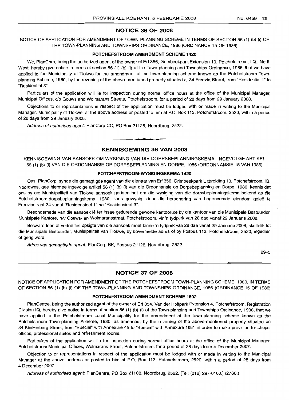## **NOTICE 36 OF 2008**

NOTICE OF APPLICATION FOR AMENDMENT OF TOWN-PLANNING SCHEME IN TERMS OF SECTION 56 (1) (b) (i) OF THE TOWN-PLANNING AND TOWNSHIPS ORDINANCE, 1986 (ORDINANCE 15 OF 1986)

#### **POTCHEFSTROOM AMENDMENT SCHEME 1420**

We, PlanCorp, being the authorized agent of the owner of Erf 356, Grimbeekpark Extension 10, Potchefstroom, I.Q., North West, hereby give notice in terms of section 56 (1) (b) (i) of the Town-planning and Townships Ordinance, 1986, that we have applied to the Municipality of Tlokwe for the amendment of the town-planning scheme known as the Potchefstroom Townplanning Scheme, 1980, by the rezoning of the above-mentioned property situated at 34 Freezia Street, from "Residential 1" to "Residential 3".

Particulars of the application will lie for inspection during normal office hours at the office of the Municipal Manager, Municipal Offices, c/o Gouws and Wolmarans Streets, Potchefstroom, for a period of 28 days from 29 January 2008.

Objections to or representations in respect of the application must be lodged with or made in writing to the Municipal Manager, Municipality of Tlokwe, at the above address or posted to him at P.O. Box 113, Potchefstroom, 2520, within a period of 28 days from 29 January 2008.

Address of authorised agent: PlanCorp CC, PO Box 21126, Noordbrug, 2522.

## **KENNISGEWING 36 VAN 2008**

.**- .**

KENNISGEWING VAN AANSOEK OM WYSIGING VAN DIE DORPSBEPLANNINGSKEMA, INGEVOLGE ARTIKEL 56 (1) (b) (i) VAN DIE ORDONNANSIE OP DORPSBEPLANNING EN DORPE, 1986 (ORDONNANSIE 15 VAN 1986)

#### **POTCHEFSTROOM-WYSIGINGSKEMA 1420**

Ons, PlanCorp, synde die gemagtigde agent van die eienaar van Erf 356, Grimbeekpark Uitbreiding 10, Potchefstroom, IQ, Noordwes, gee hiermee ingevolge artikel 56 (1) (b) (i) van die Ordonnansie op Dorpsbeplanning en Dorpe, 1986, kennis dat ons by die Munisipaliteit van Tlokwe aansoek gedoen het om die wysiging van die dorpsbeplanningskema bekend as die Potchefstroom-dorpsbeplanningskema, 1980, soos gewysig, deur die hersonering van bogenoemde eiendom geleë te Freeziastraat 34 vanaf "ResidensieeI1" na "Residensieel 3".

Besonderhede van die aansoek lê ter insae gedurende gewone kantoorure by die kantoor van die Munisipale Bestuurder, Munisipale Kantore, h/v Gouws- en Wolmaransstraat, Potchefstroom, vir 'n tydperk van 28 dae vanaf 29 Januarie 2008.

Besware teen of vertoë ten opsigte van die aansoek moet binne 'n tydperk van 28 dae vanaf 29 Januarie 2008, skriftelik tot die Munisipale Bestuurder, Munisipaliteit van Tlokwe, by bovermelde adres of by Posbus 113, Potchefstroom, 2520, ingedien of gerig word.

Adres van gemagtigde agent: PlanCorp BK, Posbus 21126, Noordbrug, 2522.

29-5

## **NOTICE 37 OF 2008**

NOTICE OF APPLICATION FOR AMENDMENT OF THE POTCHEFSTROOM TOWN-PLANNING SCHEME, 1980, IN TERMS OF SECTION 56 (1) (b) (i) OF THE TOWN-PLANNING AND TOWNSHIPS ORDINANCE, 1986 (ORDINANCE 15 OF 1986)

#### **POTCHEFSTROOM AMENDMENT SCHEME 1502**

PlanCentre, being the authorized agent of the owner of Erf 354, Van der Hoffpark Extension 4, Potchefstroom, Registration Division IQ, hereby give notice in terms of section 56 (1) (b) (i) of the Town-planning and Townships Ordinance, 1986, that we have applied to the Potchefstroom Local Municipality for the amendment of the town-planning scheme known as the Potchefstroom Town-planning Scheme, 1980, as amended, by the rezoning of the above-mentioned property situated on 34 Klinkenberg Street, from "Special" with Annexure 45 to "Special" with Annexure 1081 in order to make provision for shops, offices, professional suites and refreshment rooms.

Particulars of the application will lie for inspection during normal office hours at the office of the Municipal Manager, Potchefstroom Municipal Offices, Wolmarans Street, Potchefstroom, for a period of 28 days from 4 December 2007.

Objection to or representations in respect of the application must be lodged with or made in writing to the Municipal Manager at the above address or posted to him at P.O. Box 113, Potchefstroom, 2520, within a period of 28 days from 4 December 2007.

Address of authorised agent: PlanCentre, PO Box 21108, Noordbrug, 2522. [Tel: (018) 297-0100.] (2766.)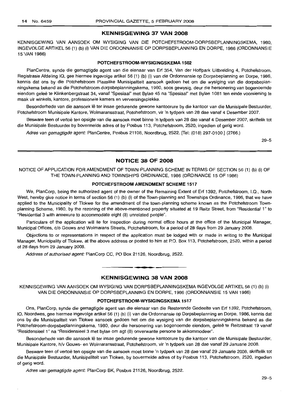## **KENNISGEWING 37 VAN 2008**

KENNISGEWING VAN AANSOEK OM WYSIGING VAN DIE POTCHEFSTROOM-DORPSBEPLANNINGSKEMA, 1980, INGEVOLGEARTIKEL56 (1) (b) (i) VAN DIE ORDONNANSIE OP DORPSBEPLANNING EN DORPE, 1986 (ORDONNANSIE 15 VAN 1986)

#### **POTCHEFSTROOM-WYSIGINGSKEMA 1502**

PlanCentre, synde die gemagtigde agent van die eienaar van Erf 354, Van der Hoffpark Uitbreiding 4, Potchefstroom, Registrasie Afdeling IQ, gee hiermee ingevolge artikel 56 (1) (b) (i) van die Ordonnansie op Dorpsbeplanning en Dorpe, 1986, kennis dat ons by die Potchefstroom Plaaslike Munisipaliteit aansoek gedoen het om die wysiging van die dorpsbeplanningskema bekend as die Potchefstroom-dorpsbeplanningskema, 1980, soos gewysig, deur die hersonering van bogenoemde eiendom geleë te Klinkenbergstraat 34, vanaf "Spesiaal" met Bylae 45 na "Spesiaal" met Bylae 1081 ten einde voorsiening te maak vir winkels, kantore, professionele kamers en verversingsplekke.

Besonderhede van die aansoek lê ter insae gedurende gewone kantoorure by die kantoor van die Munisipale Bestuurder, Potchefstroom Munisipale Kantore, Wolmaransstraat, Potchefstroom, vir 'n tydperk van 28 dae vanaf 4 Desember 2007.

Besware teen of vertoë ten opsigte van die aansoek moet binne 'n tydperk van 28 dae vanaf 4 Desember 2007, skriftelik tot die Munisipale Bestuurder by bovermelde adres of by Posbus 113, Potchefstroom, 2520, ingedien of gerig word.

Adres van gemagtigde agent: PlanCentre, Posbus 21108, Noordbrug, 2522. [Tel: (018) 297-0100.] (2766.)

29-5

## **NOTICE 38 OF 2008**

NOTICE OF APPLICATION FOR AMENDMENT OF TOWN-PLANNING SCHEME IN TERMS OF SECTION 56 (1) (b) (i) OF THE TOWN-PLANNING AND TOWNSHIPS ORDINANCE, 1986 (ORDINANCE 15 OF 1986)

#### **POTCHEFSTROOM AMENDMENT SCHEME 1517**

We, PlanCorp, being the authorized agent of the owner of the Remaining Extent of Erf 1392, Potchefstroom, I.Q., North West, hereby give notice in terms of section 56 (1) (b) (i) of the Town-planning and Townships Ordinance, 1986, that we have applied to the Municipality of Tlokwe for the amendment of the town-planning scheme known as the Potchefstroom Townplanning Scheme, 1980, by the rezoning of the above-mentioned property situated at 19 Reitz Street, from "Residential 1" to "Residential 3 with annexure to accommodate eight (8) unrelated people".

Particulars of the application will lie for inspection during normal office hours at the office of the Municipal Manager, Municipal Offices, c/o Gouws and Wolmarans Streets, Potchefstroom, for a period of 28 days from 29 January 2008.

Objections to or representations in respect of the application must be lodged with or made in writing to the Municipal Manager, Municipality of Tlokwe, at the above address or posted to him at P.O. Box 113, Potchefstroom, 2520, within a period of 28 days from 29 January 2008.

Address of authorised agent: PlanCorp CC, PO Box 21126, Noordbrug, 2522.

#### **KENNISGEWING 38 VAN 2008**

**• •**

KENNISGEWING VAN AANSOEK OM WYSIGING VAN DORPSBEPLANNINGSKEMA INGEVOLGE ARTIKEL 56 (1) (b) (i) VAN DIE ORDONNANSIE OP DORPSBEPLANNING EN DORPE, 1986 (ORDONNANSIE 15 VAN 1986)

## **POTCHEFSTROOM-WYSIGINGSKEMA 1517**

Ons, PlanCorp, synde die gemagtigde agent van die eienaar van die Resterende Gedeelte van Erf 1392, Potchefstroom, IQ, Noordwes, gee hiermee ingevolge artikel 56 (1) (b) (i) van die Ordonnansie op Dorpsbeplanning en Dorpe, 1986, kennis dat ons by die Munisipaliteit van Tlokwe aansoek gedoen het om die wysiging van die dorpsbeplanningskema bekend as die Potchefstroom-dorpsbeplanningskema, 1980, deur die hersonering van bogenoemde eiendom, geleë te Reitzstraat 19 vanaf "Residensieel 1" na "Residensieel 3 met bylae om agt (8) onverwante persone te akkommodeer".

Besonderhede van die aansoek lê ter insae gedurende gewone kantoorure by die kantoor van die Munisipale Bestuurder, Munisipale Kantore, h/v Gouws- en Wolmaransstraat, Potchefstroom, vir 'n tydperk van 28 dae vanaf 29 Januarie 2008.

Besware teen of vertoe ten opsigte van die aansoek moet binne 'n tydperk van 28 dae vanaf 29 Januarie 2008, skriftelik tot die Munisipale Bestuurder, Munisipaliteit van Tlokwe, by bovermelde adres of by Posbus 113, Potchefstroom, 2520, ingedien of gerig word.

Adres van gemagtigde agent: PlanCorp BK, Posbus 21126, Noordbrug, 2522.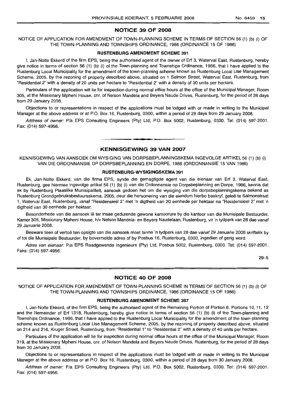#### NOTICE 39 OF 2008

NOTICE OF APPLICATION FOR AMENDMENT OF TOWN-PLANNING SCHEME IN TERMS OF SECTION 56 (1) (b) (i) OF THE TOWN-PLANNING AND TOWNSHIPS ORDINANCE, 1986 (ORDINANCE 15 OF 1986)

#### RUSTENBURG AMENDMENT SCHEME 391

I, Jan-Nolte Ekkerd of the firm EPS, being the authorised agent of the owner of Erf 3, Waterval East, Rustenburg, hereby give notice in terms of section 56 (1) (b) (i) of the Town-planning and Townships Ordinance, 1986, that I have applied to the Rustenburg Local Municipality for the amendment of the town-planning scheme known as Rustenburg Local Use Management Scheme, 2005, by the rezoning of property described above, situated on 1 Salmon Street, Waterval East, Rustenburg, from "Residential 2" with a density of 20 units per hectare to "Residential 2" with a density of 30 units per hectare.

Particulars of the application will lie for inspection during normal office hours at the office of the Municipal Manager, Room 305, at the Missionary Mpheni House, em. of Nelson Mandela and Beyers Naude Drives, Rustenburg, for the period of 28 days from 29 January 2008.

Objections to or representations in respect of the applications must be lodged with or made in writing to the Municipal Manager at the above address or at P.O. Box 16, Rustenburg, 0300, within a period of 28 days from 29 January 2008.

Address of owner: Pia EPS Consulting Engineers (Pty) Ltd, P.O. Box 5002, Rustenburg, 0300. Tel: (014) 597-2001. Fax: (014) 597-4956. .**-.**

#### KENNISGEWING 39 VAN 2007

KENNISGEWING VAN AANSOEK OM WYSIGING VAN DORPSBEPLANNINGSKEMA INGEVOLGE ARTIKEL 56 (1) (b) (i) VAN DIE ORDONNANSIE OP DORPSBEPLANNING EN DORPE, 1986 (ORDONNANSIE 15 VAN 1986)

#### RUSTENBURG-WYSIGINGSKEMA 391

Ek, Jan-Nolte Ekkerd, van die firma EPS, synde die gemagtigde agent van die eienaar van Erf 3, Waterval East, Rustenburg, gee hiermee ingevolge artikel 56 (1) (b) (i) van die Ordonnansie op Dorpsbeplanning en Dorpe, 1986, kennis dat ek by Rustenburg Plaaslike Munisipaliteit, aansoek gedoen het om die wysiging van die dorpsbeplanningskema bekend as Rustenburg Grondgebruiksbestuursskema, 2005, deur die hersonering van die eiendom hierbo beskryf, gelee te Salmonstraat 1, Waterval East, Rustenburg, vanaf "Residensieel 2" met 'n digtheid van 20 eenhede per hektaar na "Residensieel 2" met 'n digtheid van 30 eenhede per hektaar.

Besonderhede van die aansoek lê ter insae gedurende gewone kantoorure by die kantoor van die Munisipale Bestuurder, Kamer 305, Missionary Mpheni House, h/v Nelson Mandela- en Beyers Naudelaan, Rustenburg, vir 'n tydperk van 28 dae vanaf 29 Januarie 2008.

Besware teen of vertoë ten opsigte van die aansoek moet binne 'n tydperk van 28 dae vanaf 29 Januarie 2008 skriftelik by of tot die Munisipale Bestuurder, by bovermelde adres of by Posbus 16, Rustenburg, 0300, ingedien of gerig word.

Adres van eienaar: P/a EPS Raadgewende Ingenieurs (Pty) Ltd, Posbus 5002, Rustenburg, 0300. Tel: (014) 597-2001. Faks: (014) 597-4956.

29-5

## NOTICE 40 OF 2008

NOTICE OF APPLICATION FOR AMENDMENT OF TOWN-PLANNING SCHEME IN TERMS OF SECTION 56 (1) (b) (i) OF THE TOWN-PLANNING AND TOWNSHIPS ORDINANCE, 1986 (ORDINANCE 15 OF 1986)

#### RUSTENBURG AMENDMENT SCHEME 387

I, Jan-Nolte Ekkerd, of the firm EPS, being the authorised agent of the Remaining Portion of Portion 8, Portions 10, 11, 12 and the Remainder of Erf 1318, Rustenburg, hereby give notice in terms of section 56 (1) (b) (i) of the Town-planning and Townships Ordinance, 1986, that I have applied to the Rustenburg Local Municipality for the amendment of the town-planning scheme known as Rustenburg Local Use Management Scheme, 2005, by the rezoning of property described above, situated on 214 and 216, Kruger Street, Rustenburg, from "Residential 1" to "Residential 2" with a density of 40 units per hectare.

Particulars of the application will lie for inspection during normal office hours at the office of the Municipal Manager, Room 319, at the Missionary Mpheni House, em. of Nelson Mandela and Beyers Naude Drives, Rustenburg, for the period of 28 days from 30 January 2008.

Objections to or representations in respect of the applications must be lodged with or made in writing to the Municipal Manager at the above address or at P.O. Box 16, Rustenburg, 0300, within a period of 28 days from 30 January 2008.

Address of owner: Pia EPS Consulting Engineers (Pty) Ltd, P.O. Box 5002, Rustenburg, 0300. Tel: (014) 597-2001. Fax: (014) 597-4956.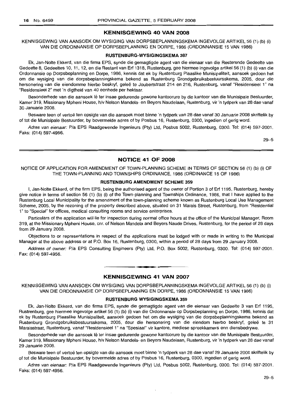## **KENNISGEWING 40 VAN 2008**

KENNISGEWING VAN AANSOEK OM WYSIGING VAN DORPSBEPLANNINGSKEMA INGEVOLGE ARTIKEL 56 (1) (b) (i) VAN DIE ORDONNANSIE OP DORPSBEPLANNING EN DORPE, 1986 (ORDONNANSIE 15 VAN 1986)

#### **RUSTENBURG-WYSIGINGSKEMA 387**

Ek, Jan-Nolte Ekkerd, van die firma EPS, synde die gemagtigde agent van die eienaar van die Resterende Gedeelte van Gedeelte 8, Gedeeltes 10, 11, 12, en die Restant van Erf 1318, Rustenburg, gee hiermee ingevolge artikel 56 (1) (b) (i) van die Ordonnansie op Dorpsbeplanning en Dorpe, 1986, kennis dat ek by Rustenburg Plaaslike Munisipaliteit, aansoek gedoen het om die wysiging van die dorpsbeplanningskema bekend as Rustenburg Grondgebruiksbestuursskema, 2005, deur die hersonering van die eiendomme hierbo beskryf, geleë te Joubertstraat 214 en 216, Rustenburg, vanaf "Residensieel 1" na "Residensieel 2" met 'n digtheid van 40 eenhede per hektaar.

Besonderhede van die aansoek lê ter insae gedurende gewone kantoorure by die kantoor van die Munisipale Bestuurder, Kamer 319, Missionary Mpheni House, h/v Nelson Mandela- en Beyers Naudelaan, Rustenburg, vir 'n tydperk van 28 dae vanaf 30 Januarie 2008.

Besware teen of vertoë ten opsigte van die aansoek moet binne 'n tydperk van 28 dae vanaf 30 Januarie 2008 skriftelik by of tot die Munisipale Bestuurder, by bovermelde adres of by Posbus 16, Rustenburg, 0300, ingedien of gerig word.

Adres van eienaar: *Pia* EPS Raadgewende Ingenieurs (Pty) Ltd, Posbus 5002, Rustenburg, 0300. Tel: (014) 597-2001. Faks: (014) 597-4956.

29-5

#### **NOTICE 41 OF 2008**

NOTICE OF APPLICATION FOR AMENDMENT OF TOWN-PLANNING SCHEME IN TERMS OF SECTION 56 (1) (b) (i) OF THE TOWN-PLANNING AND TOWNSHIPS ORDINANCE, 1986 (ORDINANCE 15 OF 1986)

## **RUSTENBURG AMENDMENT SCHEME 359**

I, Jan-Nolte Ekkerd, of the firm EPS, being the authorised agent of the owner of Portion 3 of Erf 1195, Rustenburg, hereby give notice in terms of section 56 (1) (b) (i) of the Town-planning and Townships Ordinance, 1986, that I have applied to the Rustenburg Local Municipality for the amendment of the town-planning scheme known as Rustenburg Local Use Management Scheme, 2005, by the rezoning of the property described above, situated on 31 Marais Street, Rustenburg, from "Residential 1" to "Special" for offices, medical consulting rooms and service enterprises.

Particulars of the application will lie for inspection during normal office hours at the office of the Municipal Manager, Room 319, at the Missionary Mpheni House, cnr. of Nelson Mandela and Beyers Naude Drives, Rustenburg, for the period of 28 days from 29 January 2008.

Objections to or representations in respect of the applications must be lodged with or made in writing to the Municipal Manager at the above address or at P.O. Box 16, Rustenburg, 0300, within a period of 28 days from 29 January 2008.

Address of owner: *Pia* EPS Consulting Engineers (Pty) Ltd, P.O. Box 5002, Rustenburg, 0300. Tel: (014) 597-2001. Fax: (014) 597-4956.

#### **KENNISGEWING 41 VAN 2007**

.**- .**

KENNISGEWING VAN AANSOEK OM WYSIGING VAN DORPSBEPLANNINGSKEMA INGEVOLGE ARTIKEL 56 (1) (b) (i) VAN DIE ORDONNANSIE OP DORPSBEPLANNING EN DORPE, 1986 (ORDONNANSIE 15 VAN 1986)

#### **RUSTENBURG WYSIGINGSKEMA 359**

Ek, Jan-Nolte Ekkerd, van die firma EPS, synde die gemagtigde agent van die eienaar van Gedeelte 3 van Erf 1195, Rustrenburg, gee hiermee ingevolge artikel 56 (1) (b) (i) van die Ordonnansie op Dorpsbeplanning en Dorpe, 1986, kennis dat ek by Rustenburg Plaaslike Munisipaliteit, aansoek gedoen het om die wysiging van die dorpsbeplanningskema bekend as Rustenburg Grondgebruiksbestuursskema, 2005, deur die hersonering van die eiendom hierbo beskryf, gelee te 31 Maraisstraat, Rustenburg, vanaf "Residensieel 1" na "Spesiaal" vir kantore, mediese spreekkamers enn diensbedrywe.

Besonderhede van die aansoek lê ter insae gedurende gewone kantoorure by die kantoor van die Munisipale Bestuurder, Kamer 319, Missionary Mpheni House, h/v Nelson Mandela- en Beyers Naudelaan, Rustenburg, vir 'n tydperk van 28 dae vanaf 29 Januarie 2008.

Besware teen of vertoë ten opsigte van die aansoek moet binne 'n tydperk van 28 dae vanaf 29 Januarie 2008 skriftelik by of tot die Munisipale Bestuurder, by bovermelde adres of by Posbus 16, Rustenburg, 0300, ingedien of gerig word.

Adres van eienaar: *Pia* EPS Raadgewende Ingenieurs (Pty) Ltd, Posbus 5002, Rustenburg, 0300. Tel: (014) 597-2001. Faks: (014) 597-4956.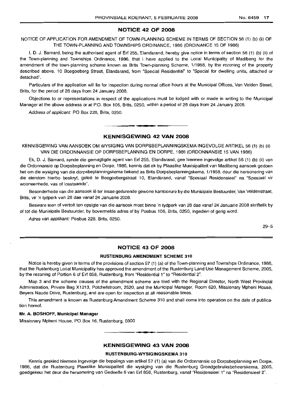#### NOTICE 42 OF 2008

## NOTICE OF APPLICATION FOR AMENDMENT OF TOWN-PLANNING SCHEME IN TERMS OF SECTION 56 (1) (b) (ii) OF THE TOWN-PLANNING AND TOWNSHIPS ORDINANCE, 1986 (ORDINANCE 15 OF 1986)

I, D. J. Barnard, being the authorised agent of Erf 255, Elandsrand, hereby give notice in terms of section 56 (1) (b) (ii) of the Town-planning and Townships Ordinance, 1986, that I have applied to the Local Municipality of Madibeng for the amendment of the town-planning scheme known as Brits Town-planning Scheme, 1/1958, by the rezoning of the property described above, 10 Boegoeberg Street, Elandsrand, from "Special Residential" to "Special for dwelling units, attached or detached".

Particulars of the application will lie for inspection during normal office hours at the Municipal Offices, Van Velden Street, Brits, for the period of 28 days from 24 January 2008.

Objections to or representations in respect of the applications must be lodged with or made in writing to the Municipal Manager at the above address or at P.O. Box 106, Brits, 0250, within a period of 28 days from 24 January 2008.

Address of applicant: PO Box 228, Brits, 0250.

## **-** KENNISGEWING <sup>42</sup> VAN <sup>2008</sup>

KENNISGEWING VAN MNSOEK OM WYSIGING VAN DORPSBEPLANNINGSKEMA INGEVOLGE ARTIKEL 56 (1) (b) (ii) VAN DIE ORDONNANSIE OP DORPSBEPLANNING EN DORPE, 1986 (ORDONNANSIE 15 VAN 1986)

Ek, D. J. Barnard, synde die gemagtigde agent van Erf 255, Elandsrand, gee hiermee ingevolge artikel 56 (1) (b) (ii) van die Ordonnansie op Dorpsbeplanning en Dorpe, 1986, kennis dat ek by Plaaslike Munisipaliteit van Madibeng aansoek gedoen het om die wysiging van die dorpsbeplanningskema bekend as Brits Dorpsbeplanningskema, 1/1958, deur die hersonering van die eiendom hierbo beskryf, geleë te Boegoebergstraat 10, Elandsrand, vanaf "Spesiaal Residensieel" na "Spesiaal vir wooneenhede, vas of losstaande".

Besonderhede van die aansoek lê ter insae gedurende gewone kantoorure by die Munisipale Bestuurder, Van Veldenstraat, Brits, vir 'n tydperk van 28 dae vanaf 24 Januarie 2008.

Besware teen of vertoë ten opsigte van die aansoek moet binne 'n tydperk van 28 dae vanaf 24 Januarie 2008 skriftelik by of tot die Munisipale Bestuurder, by bovermelde adres of by Posbus 106, Brits, 0250, ingedien of gerig word.

Adres van applikant: Posbus 228, Brits, 0250.

29-5

## NOTICE 43 OF 2008

#### RUSTENBURG AMENDMENT SCHEME 310

Notice is hereby given in terms of the provisions of section 57 (1) (a) of the Town-planning and Townships Ordinance, 1986, that the Rustenburg Local Municipality has approved the amendment of the Rustenburg Land Use Management Scheme, 2005, by the rezoning of Portion 6 of Erf 858, Rustenburg, from "Residential 1" to "Residential 2".

Map 3 and the scheme clauses of the amendment scheme are filed with the Regional Director, North West Provincial Administration, Private Bag X1213, Potchefstroom, 2520, and the Municipal Manager, Room 620, Missionary Mpheni House, Beyers Naude Drive, Rustenburg, and are open for inspection at all reasonable times.

This amendment is known as Rustenburg Amendment Scheme 310 and shall come into operation on the date of publication hereof.

#### Mr. A. BOSHOFF, Municipal Manager

Missionary Mpheni House, PO Box 16, Rustenburg, 0300

#### KENNISGEWING 43 VAN 2008

.**-.**

## RUSTENBURG-WYSIGINGSKEMA 310

Kennis geskied hiermee ingevolge die bepalings van artikel 57 (1) (a) van die Ordonnansie op Dorpsbeplanning en Dorpe, 1986, dat die Rustenburg Plaaslike Munisipaliteit die wysiging van die Rustenburg Grondgebruiksbeheerskema, 2005, goedgekeur het deur die hersonering van Gedeelte 6 van Erf 858, Rustenburg, vanaf "Residensieel 1" na "Residensieel 2".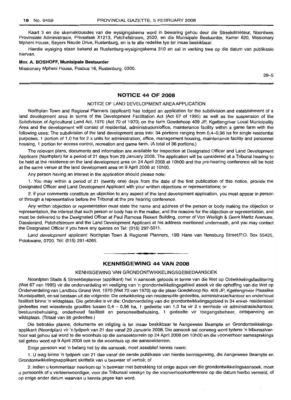Kaart 3 en die skemaklousules van die wysigingskema word in bewaring gehou deur die Streekdirekteur, Noordwes Provinsiale Administrasie, Privaatsak X1213, Potchefstroom, 2520, en die Munisipale Bestuurder, Kamer 620, Missionary Mpheni House, Beyers Naude Drive, Rustenburg, en is te aile redelike tye ter insae beskikbaar.

Hierdie wysiging staan bekend as Rustenburg-wysigingskema 310 en sal in werking tree op die datum van publikasie hiervan.

#### **Mnr. A. BOSHOFF, Munisipale Bestuurder**

Missionary Mpheni House, Posbus 16, Rustenburg, 0300.

29-5

#### **NOTICE 44 OF 2008**

#### NOTICE OF LAND DEVELOPMENT AREA APPLICATION

Northplan Town and Regional Planners (applicant) has lodged an application for the subdivision and establishment of a land development area in terms of the Development Facilitation Act (Act 67 of 1995) as well as the suspension of the Subdivision of Agricultural Land Act, 1970 (Act 70 of 1970) on the farm Goedehoop 409 JP, Kgetlengriver Local Municipality Area and the development will consist of residential, administration/office, maintenance facility within a game farm with the following uses: The subdivision of the land development area into: 34 portions ranging from 0,4-0,96 ha for single residential purposes, 1 portion of 1,0 ha for 2 x units for administration, office, management housing, maintenance facility and personnel housing, 1 portion for access control, recreation and game farm. (A total of 36 portions.)

The relevant plans, documents and information are available for inspection at Designated Officer and Land Development Applicant (Northplan) for a period of 21 days from 29 January 2008. The application will be considered at a Tribunal hearing to be held at the residence on the land development area on 24 April 2008 at 1OhOO and the pre-hearing conference will be held at the same venue at the land development area on 9 April 2008 at 10hOO.

Any person having an interest in the application should please note:

1. You may within a period of 21 (twenty one) days from the date of the first publication of this notice, provide the Designated Officer and Land Development Applicant with your written objections or representations; or

2. if your comments constitute an objection to any aspect of the land development application, you must appear in person or through a representative before the Tribunal at the pre hearing conference.

Any written objection or representation must state the name and address of the person or body making the objection or representation, the interest that such person or body has in the matter, and the reasons for the objection or representation, and must be delivered to the Designated Officer at Paul Ramosa Riekert Building, corner of Von Wielligh & Gerrit Maritz Avenues, Dassierand, Potchefstroom and the Land Development Applicant at his address mentioned underneath, and you may contact the Designated Officer if you have any queries on Tel: (018) 297-5011.

Land development applicant: Northplan Town & Regional Planners, 19B Hans van Rensburg Street/P.O. Box 55425, Polokwane, 0700. Tel: (015) 291-4265.

## **KENNISGEWING 44 VAN 2008**

.**- .**

#### KENNISGEWING VAN GRONDONTWIKKELINGSGEBIEDAANSOEK

Noordplan Stads & Streekbeplanner (applikant) het 'n aansoek geloods in terme van die Wet op Ontwikkelingsfasilitering (Wet 67 van 1995) vir die onderverdeling en vestiging van 'n grondontwikkelingsgebied asook vir die opheffing van die Wet op Onderverdeling van Landbou Grond Wet, 1970 (Wet 70 van 1970) op die plaas Goedehoop No. 409 JP, Kgetlengrivier Plaaslike Munisipaliteit, en sal bestaan uit die volgende: Die ontwikkeling van residensiële gedeeltes, administrasie/kantoor en onderhoud fasiliteit binne 'n wildsplaas. Die gebruike is vir die: Onderverdeling van die grondontwikkelingsgebied in 34 enkel- residensieel gedeeltes met wisselende groottes tussen 0,4 - 0,96 ha, 1 gedeelte van 1,0 ha vir 2 x eenhede vir administrasie/kantoor, bestuursbehuising, onderhoud fasiliteit en personeelbehuising, 1 gedeelte vir toegangsbeheer, ontspanning en wildsplaas. (Totaal van 36 gedeeltes.)

Die betrokke planne, dokumente en inligting is ter insae beskikbaar te Aangewese Beampte en Grondontwikkelingsapplikant (Noordplan) vir 'n tydperk van 21 dae vanaf 29 Januarie 2008. Die aansoek sal oorweeg word tydens 'n tribunaalverhoor wat gehou sal word te die woonhuis op die aansoekterrein op 24 April 2008 om 1OhOO en die voorverhoor samesprekings sal gehou word op 9 April 2008 ook te die woonhuis op die aansoekterrein.

Enige persoon wat 'n belang het by die aansoek, moet asseblief kennis neem:

1. U mag binne 'n tydperk van 21 dae vanaf die eerste publikasie van hierdie kennisgewing, die Aangewese Beampte en Grondontwikkelingsapplikant skriftelik van u beswaar of vertoë; of

2. indien u kommentaar neerkom op 'n beswaar met betrekking tot enige aspek van die grondontwikkelingsaansoek, moet u persoonlik of u verteenwoordiger, voor die Tribunaal verskyn by die voorverhoorkonferensie op die datum hierbo vermeld, of op enige ander datum waarvan u kennis gegee kan word.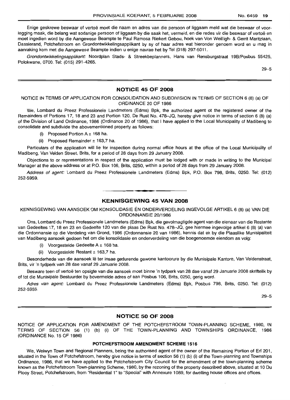Enige geskrewe beswaar of vertoë moet die naam en adres van die persoon of liggaam meld wat die beswaar of voorlegging maak, die belang wat sodanige persoon of liggaam by die saak het, vermeld, en die redes vir die beswaar of vertoë en moet ingedien word by die Aangewese Beampte te Paul Ramosa Riekert Gebou, hoek van Von Weilligh- & Gerrit Maritzlaan, Dassierand, Potchefstroom en Grondontwikkelingsapplikant by sy of haar adres wat hieronder genoem word en u mag in aanraking kom met die Aangewese Beampte indien u enige navrae het by Tel (018) 297-5011.

Grondontwikkelingsapplikant: Noordplan Stads- & Streekbeplanners, Hans van Rensburgstraat 19B/Posbus 55425, Polokwane, 0700. Tel: (015) 291-4265.

29-5

#### **NOTICE 45 OF 2008**

#### NOTICE IN TERMS OF APPLICATION FOR CONSOLIDATION AND SUBDIVISION IN TERMS OF SECTION 6 (8) (a) OF ORDINANCE 20 OF 1986

We, Lombard du Preez Professionele Landmeters (Edms) Bpk, the authorized agent ot the registered owner of the Remainders of Portions 17, 18 and 23 and Portion 120, De Rust No. 478-JQ, hereby give notice in terms of section 6 (8) (a) of the Division of Land Ordinance, 1986 (Ordinance 20 of 1986), that I have applied to the Local Municipality of Madibeng to consolidate and subdivide the abovementioned property as follows:

- (i) Proposed Portion  $A \pm 168$  ha.
- (ii) Proposed Remainder  $\pm$  163,7 ha.

Particulars of the application will lie for inspection during normal office hours at the office of the Local Municipality of Madibeng, Van Velden Street, Brits, for a period of 28 days from 29 January 2008.

Objections to or representations in respect of the application must be lodged with or made in writing to the Municipal Manager at the above address or at P.O. Box 106, Brits, 0250, within a period of 28 days from 29 January 2008.

Address of agent: Lombard du Preez Professionele Landmeters (Edms) Bpk, P.O. Box 798, Brits, 0250. Tel: (012) 252-5959.

#### **KENNISGEWING 45 VAN 2008**

I **\_ •**

KENNISGEWING VAN AANSOEK OM KONSOLIDASIE EN ONDERVERDELING INGEVOLGE ARTIKEL 6 (8) (a) VAN DIE ORDONNANSIE 20/1986

Ons, Lombard du Preez Professionele Landmeters (Edms) Bpk, die gevolmagtigde agent van die eienaar van die Restante van Gedeeltes 17, 18 en 23 en Gedeelte 120 van die plaas De Rust No. 478-JQ, gee hiermee ingevolge artikel 6 (8) (a) van die Ordonnansie op die Verdeling van Grond, 1986 (Ordonnansie 20 van 1986), kennis dat ek by die Plaaslike Munisipaliteit van Madibeng aansoek gedoen het om die konsolidasie en onderverdeling van die boegenoemde eiendom as volg:

- (i) Voorgestelde Gedeelte  $A \pm 168$  ha.
- (ii) Voorgestelde Restant ± 163,7 ha.

Besonderhede van die aansoek lê ter insae gedurende gewone kantoorure by die Munisipale Kantore, Van Veldenstraat, Brits, vir 'n tydperk van 28 dae vanaf 29 Januarie 2008.

Besware teen of vertoe ten opsigte van die aansoek moet binne 'n tydperk van 28 dae vanaf 29 Januarie 2008 skriftelik by of tot die Munisipale Bestuurder by bovermelde adres of aan Posbus 106, Brits, 0250, gerig word.

Adres van agent: Lombard du Preez Professionele Landmeters (Edms) Bpk, Posbus 798, Brits, 0250. Tel: (012) 252-5959.

29-5

#### **NOTICE 50 OF 2008**

NOTICE OF APPLICATION FOR AMENDMENT OF THE POTCHEFSTROOM TOWN-PLANNING SCHEME, 1980, IN TERMS OF SECTION 56 (1) (b) (i) OF THE TOWN-PLANNING AND TOWNSHIPS ORDINANCE, 1986 (ORDINANCE No. 15 OF 1986)

#### **POTCHEFSTROOM AMENDMENT SCHEME** 1516

We, Welwyn Town and Regional Planners, being the authorised agent of the owner of the Remaining Portion of Erf 201, situated in the Town of Potchefstroom, hereby give notice in terms of section 56 (1) (b) (i) of the Town-planning and Townships Ordinance, 1986, that we have applied to the Potchefstroom City Council for the amendment of the town-planning scheme known as the Potchefstroom Town-planning Scheme, 1980, by the rezoning of the property described above, situated at 10 Du Plooy Street, Potchefstroom, from "Residential 1" to "Special" with Annexure 1089, for dwelling house offices and offices.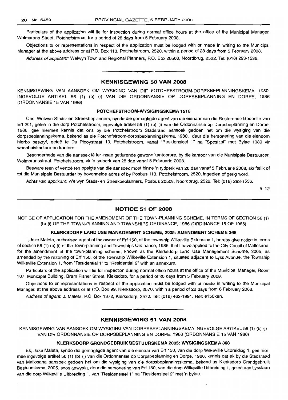Particulars of the application will lie for inspection during normal office hours at the office of the Municipal Manager, Wolmarans Street, Potchefstroom, for a period of 28 days from 5 February 2008.

Objections to or representations in respect of the application must be lodged with or made in writing to the Municipal Manager at the above address or at P.O. Box 113, Potchefstroom, 2520, within a period of 28 days from 5 February 2008.

Address of applicant: Welwyn Town and Regional Planners, P.O. Box 20508, Noordbrug, 2522. Tel: (018) 293-1536.

#### **KENNISGEWING 50 VAN 2008**

**- .**

KENNISGEWING VAN AANSOEK OM WYSIGING VAN DIE POTCHEFSTROOM-DORPSBEPLANNINGSKEMA, 1980, INGEVOLGE ARTIKEL 56 (1) (b) (i) VAN DIE ORDONNANSIE OP DORPSBEPLANNING EN DORPE, 1986 (ORDONNANSIE 15 VAN 1986)

## **POTCHEFSTROOM-WYSIGINGSKEMA 1516**

Ons, Welwyn Stads- en Streekbeplanners, synde die gemagtigde agent van die eienaar van die Resterende Gedeelte van Erf 201, geleë in die dorp Potchefstroom, ingevolge artikel 56 (1) (b) (i) van die Ordonnansie op Dorpsbeplanning en Dorpe, 1986, gee hiermee kennis dat ons by die Potchefstroom Stadsraad aansoek gedoen het om die wysiging van die dorpsbeplanningskema, bekend as die Potchefstroom-dorpsbeplanningskema, 1980, deur die hersonering van die eiendom hierbo beskryf, gelee te Du Plooystraat 10, Potchefstroom, vanaf "Residensieel 1" na "Spesiaal" met Bylae 1089 vir woonhuiskantore en kantore.

Besonderhede van die aansoek lê ter insae gedurende gewone kantoorure, by die kantoor van die Munisipale Bestuurder, Wolmaransstraat, Potchefstroom, vir 'n tydperk van 28 dae vanaf 5 Februarie 2008.

Besware teen of vertoë ten opsigte van die aansoek moet binne 'n tydperk van 28 dae vanaf 5 Februarie 2008, skriftelik of tot die Munisipale Bestuurder by bovermelde adres of by Posbus 113, Potchefstroom, 2520, ingedien of gerig word.

Adres van applikant: Welwyn Stads- en Streekbeplanners, Posbus 20508, Noordbrug, 2522. Tel: (018) 293-1536.

5-12

#### **NOTICE 51 OF 2008**

NOTICE OF APPLICATION FOR THE AMENDMENT OF THE TOWN-PLANNING SCHEME, IN TERMS OF SECTION 56 (1) (b) (i) OF THE TOWN-PLANNING AND TOWNSHIPS ORDINANCE, 1986 (ORDINANCE 15 OF 1986)

#### **KLERKSDORP LAND USE MANAGEMENT SCHEME, 2005: AMENDMENT SCHEME 368**

I, Joze Maleta, authorised agent of the owner of Erf 150, of the township Wilkeville Extension 1, hereby give notice in terms of section 56 (1) (b) (i) of the Town-planning and Townships Ordinance, 1986, that I have applied to the City Coucil of Matlosana, for the amendment of the town-planning scheme, known as the Klerksdorp Land Use Management Scheme, 2005, as amended by the rezoning of Erf 150, of the Township Wilkeville Extension 1, situated adjacent to Lyss Avenue, the Township Wilkeville Extension 1, from "Residential 1" to "Residential 2" with an annexure.

Particulars of the application will lie for inspection during normal office hours at the office of the Municipal Manager, Room 107, Municipal Building, Bram Fisher Street, Kleksdorp, for a period of 28 days from 5 February 2008.

Objections to or representations in respect of the application must be lodged with or made in writing to the Municipal Manager, at the above address or at P.O. Box 99, Klerksdorp, 2570, within a period of 28 days from 6 February 2008.

Address of agent: J. Maleta, P.O. Box 1372, Klerksdorp, 2570. Tel: (018) 462-1991. Ref: e150ken.

#### **KENNISGEWING 51 VAN 2008**

**• E**

KENNISGEWING VAN AANSOEK OM WYSIGING VAN DORPSBEPLANNINGSKEMA INGEVOLGE ARTIKEL 56 (1) (b) (i) VAN DIE ORDONNANSIE OP DORPSBEPLANNING EN DORPE, 1986 (ORDONNANSIE 15 VAN 1986)

#### **KLERKSDORP GRONDGEBRUIK BESTUURSKEMA 2005: WYSIGINGSKEMA 368**

Ek, Joze Maleta, synde die gemagtigde agent van die eienaar van Erf 150, van die dorp Wilkeville Uitbreiding 1, gee hiermee ingevolge artikel 56 (1) (b) (i) van die Ordonnansie op Dorpsbeplanning en Dorpe, 1986, kennis dat ek by die Stadsraad van Matlosana aansoek gedoen het om die wysiging van die dorpsbeplanningskema, bekend as Klerksdorp Grondgebruik Bestuurskema, 2005, soos gewysig, deur die hersonering van Erf 150, van die dorp Wilkeville Uitbreiding 1, geleë aan Lysslaan van die dorp Wilkeville Uitbreiding 1, van "Residensieel 1" na "Residensieel 2" met 'n bylae.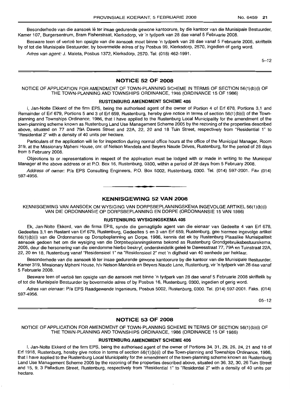Besonderhede van die aansoek lê ter insae gedurende gewone kantoorure, by die kantoor van die Munisipale Bestuurder, Kamer 107, Burgersentrum, Bram Fisherstraat, Klerksdorp, vir 'n tydperk van 28 dae vanaf 5 Februarie 2008.

Besware teen of vertoe ten opsigte van die aansoek moet binne 'n tydperk van 28 dae vanaf 5 Februarie 2008, skriftelik by of tot die Munisipale Bestuurder, by bovermelde adres of by Posbus 99, Klerksdorp, 2570, ingedien of gerig word.

Adres van agent: J. Maleta, Posbus 1372, Klerksdorp, 2570. Tel: (018) 462-1991.

5-12

## **NOTICE 52 OF 2008**

NOTICE OF APPLICATION FOR AMENDMENT OF TOWN-PLANNING SCHEME IN TERMS OF SECTION 56(1)(b)(i) OF THE TOWN-PLANNING AND TOWNSHIPS ORDINANCE, 1986 (ORDINANCE 15 OF 1986)

#### **RUSTENBURG AMENDMENT SCHEME 405**

I, Jan-Nolte Ekkerd of the firm EPS, being the authorised agent of the owner of Portion 4 of Erf 678, Portions 3,1 and Remainder of Erf 679, Portions 5 and 3 of Erf 659, Rustenburg, hereby give notice in terms of section 56(1)(b)(i) of the Townplanning and Townships Ordinance, 1986, that I have applied to the Rustenburg Local Municipality for the amendment of the town-planning scheme known as Rustenburg Land Use Management Scheme 2005 by the rezoning of the properties described above, situated on 77 and 79A Dawes Street and 22A, 22, 20 and 18 Tuin Street, respectively from "Residential 1" to "Residential 2" with a density of 40 units per hectare.

Particulars of the application will lie for inspection during normal office hours at the office of the Municipal Manager, Room 319, at the Missionary Mpheni House, em. of Nelson Mandela and Beyers Naude Drives, Rustenburg, for the period of 28 days from 5 February 2008.

Objections to or representations in respect of the application must be lodged with or made in writing to the Municipal Manager at the above address or at P.O. Box 16, Rustenburg, 0300, within a period of 28 days from 5 February 2008.

Address of owner: Pia EPS Consulting Engineers, P.O. Box 5002, Rustenburg, 0300. Tel. (014) 597-2001. Fax (014) 597-4956.

# .**- .**

## **KENNISGEWING 52 VAN 2008**

KENNISGEWING VAN AANSOEK OM WYSIGING VAN DORPSBEPLANNINGSKEMA INGEVOLGE ARTIKEL 56(1)(b)(i) VAN DIE ORDONNANSIE OP DORPSBEPLANNING EN DORPE (ORDONNANSIE 15 VAN 1986)

#### **RUSTENBURG WYSIGINGSKEMA 405**

Ek, Jan-Nolte Ekkerd, van die firma EPS, synde die gemagtigde agent van die eienaar van Gedeelte 4 van Erf 678, Gedeeltes 3,1 en Restant van Erf 679, Rustenburg, Gedeeltes 5 en 3 van Erf 659, Rustenburg, gee hiermee ingevolge artikel 56(1)(b)(i) van die Ordonnansie op Dorspbeplanning en Dorpe, 1986, kennis dat ek by Rustenburg Plaaslike Munisipaliteit aansoek gedoen het om die wysiging van die Dorpsbeplanningskema bekend as Rustenburg Grondgebruiksbestuurskema, 2005, deur die hersonering van die eiendomme hierbo beskryf, onderskeidelik gelee te Dawesstraat 77, 79A en Tuinstraat 22A, 22, 20 en 18, Rustenburg vanaf "Residensieel 1" na "Residensieel 2" met 'n digtheid van 40 eenhede per hektaar.

Besonderhede van die aansoek lê ter insae gedurende gewone kantoorure by die kantoor van die Munisipale Bestuurder, Kamer 319, Missionary Mpheni House, h/v Nelson Mandela en Beyers Naude Lane, Rustenburg, vir 'n tydperk van 28 dae vanaf 5 Februarie 2008.

Besware teen of vertoe ten opsigte van die aansoek met binne 'n tydperk van 28 dae vanaf 5 Februarie 2008 skriftelik by of tot die Munisipale Bestuurder by bovermelde adres of by Posbus 16, Rustenburg, 0300, ingedien of gerig word.

Adres van eienaar: Pia EPS Raadgewende Ingenieurs, Posbus 5002, Rustenburg, 0300. Tel. (014) 597-2001. Faks. (014) 597-4956.

05-12

## **NOTICE 53 OF 2008**

NOTICE OF APPLICATION FOR AMENDMENT OF TOWN-PLANNING SCHEME IN TERMS OF SECTION 56(1)(b)(i) OF THE TOWN-PLANNING AND TOWNSHIPS ORDINANCE, 1986 (ORDINANCE 15 OF 1986)

#### **RUSTENBURG AMENDMENT SCHEME 406**

I, Jan-Nolte Ekkerd of the firm EPS, being the authorised agent of the owner of Portions 34, 31, 29, 26, 24, 21 and 18 of Erf 1918, Rustenburg, hereby give notice in terms of section 56(1)(b)(i) of the Town-planning and Townships Ordinance, 1986, that I have applied to the Rustenburg Local Municipality for the amendment of the town-planning scheme known as Rustenburg Land Use Management Scheme 2005 by the rezoning of the properties described above, situated on 36, 32, 30, 26 Tuin Street and 15, 9, 3 Palladium Street, Rustenburg, respectively from "Residential 1" to "Residential 2" with a density of 40 units per hectare.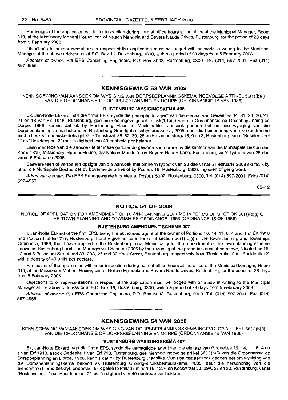Particulars of the application will lie for inspection during normal office hours at the office of the Municipal Manager, Room 319, at the Missionary Mpheni House, em. of Nelson Mandela and Beyers Naude Drives, Rustenburg, for the period of 28 days from 5 February 2008.

Objections to or representations in respect of the application must be lodged with or made in writing to the Municipal Manager at the above address or at P.O. Box 16, Rustenburg, 0300, within a period of 28 days from 5 February 2008.

Address of owner: Pia EPS Consulting Engineers, P.O. Box 5002, Rustenburg, 0300. Tel. (014) 597-2001. Fax (014) 597-4956.

**• •**

## **KENNISGEWING 53 VAN 2008**

KENNISGEWING VAN AANSOEK OM WYSIGING VAN DORPSBEPLANNINGSKEMA INGEVOLGE ARTIKEL 56(1)(b)(i) VAN DIE ORDONNANSIE OP DORPSBEPLANNING EN DORPE (ORDONNANSIE 15 VAN 1986)

#### **RUSTENBURG WYSIGINGSKEMA 406**

Ek, Jan-Nolte Ekkerd, van die firma EPS, synde die gemagtigde agent van die eienaar van Gedeeltes 34, 31, 29, 26, 24, 21 en 18 van Erf 1918, Rustenburg, gee hiermee ingevolge artikel 56(1)(b)(i) van die Ordonnansie op Dorspbeplanning en Dorpe, 1986, kennis dat ek by Rustenburg Plaaslike Munisipaliteit aansoek gedoen het om die wysiging van die Dorpsbeplanningskema bekend as Rustenburg Grondgebruiksbestuurskema, 2005, deur die hersonering van die eiendomme hierbo beskryf, onderskeidelik gelee te Tuinstraat 36, 32, 30, 26 en Palladiumstraat 15, 9 en 3, Rustenburg vanaf "Residensieel 1" na "Residensieel 2" met 'n digtheid van 40 eenhede per hektaar.

Besonderhede van die aansoek lê ter insae gedurende gewone kantoorure by die kantoor van die Munisipale Bestuurder, Kamer 319, Missionary Mpheni House, h/v Nelson Mandela- en Beyers Naude Lane, Rustenburg, vir 'n tydperk van 28 dae vanaf 5 Februarie 2008.

Besware teen of vertoe ten opsigte van die aansoek met binne 'n tydperk van 28 dae vanaf 5 Februarie 2008 skriftelik by of tot die Munisipale Bestuurder by bovermelde adres of by Posbus 16, Rustenburg, 0300, ingedien of gerig word.

Adres van eienaar: Pia EPS Raadgewende Ingenieurs, Posbus 5002, Rustenburg, 0300. Tel. (014) 597-2001. Faks (014) 597-4956.

05-12

#### **NOTICE 54 OF 2008**

NOTICE OF APPLICATION FOR AMENDMENT OF TOWN-PLANNING SCHEME IN TERMS OF SECTION 56(1)(b)(i) OF THE TOWN-PLANNING AND TOWNSHIPS ORDINANCE, 1986 (ORDINANCE 15 OF 1986)

## **RUSTENBURG AMENDMENT SCHEME 407**

I, Jan-Nolte Ekkerd of the firm EPS, being the authorised agent of the owner of Portions 16, 14, 11, 6, 4 and 1 of Erf 1918 and Portion 1 of Erf 713, Rustenburg, hereby give notice in terms of section 56(1)(b)(i) of the Town-planning and Townships Ordinance, 1986, that I have applied to the Rustenburg Local Municipality for the amendment of the town-planning scheme known as Rustenburg Land Use Management Scheme 2005 by the rezoning of the properties described above, situated on 16, 12 and 6 Palladium Street and 33, 29A, 27 and 30 Kock Street, Rustenburg, respectively from "Residential 1" to "Residential 2" with a density of 40 units per hectare.

Particulars of the application will lie for inspection during normal office hours at the office of the Municipal Manager, Room 319, at the Missionary Mpheni House, em. of Nelson Mandela and Beyers Naude Drives, Rustenburg, for the period of 28 days from 5 February 2008.

Objections to or representations in respect of the application must be lodged with or made in writing to the Municipal Manager at the above address or at P.O. Box 16, Rustenburg, 0300, within a period of 28 days from 5 February 2008.

Address of owner: Pia EPS Consulting Engineers, P.O. Box 5002, Rustenburg, 0300. Tel. (014) 597-2001. Fax (014) 597-4956.

#### **KENNISGEWING 54 VAN 2008**

**•**

KENNISGEWING VAN AANSOEK OM WYSIGING VAN DORPSBEPLANNINGSKEMA INGEVOLGE ARTIKEL 56(1)(b)(i) VAN DIE ORDONNANSIE OP DORPSBEPLANNING EN DORPE (ORDONNANSIE 15 VAN 1986)

#### **RUSTENBLIRG WYSIGINGSKEMA 407**

Ek, Jan-Nolte Ekkerd, van die firma EPS, synde die gemagtigde agent van die eienaar van Gedeeltes 16, 14, 11, 6, 4 en 1 van Erf 1918, asook Gedeelte 1 van Erf 713, Rustenburg, gee hiermee ingevolge artikel 56(1)(b)(i) van die Ordonnansie op Dorspbeplanning en Darpe, 1986, kennis dat ek by Rustenburg Plaaslike Munisipaliteit aansoek gedoen het om wysiging van die Dorpsbeplanningskema bekend as Rustenburg Grondgebruiksbestuurskema, 2005, deur die hersonering van die eiendomme hierbo beskryf, onderskeidelik geleë te Palladiumlaan 16, 12, 6 en Kockstraat 33, 29A, 27 en 30, Rustenburg, vanaf "Residensieel 1" na "Residensieel 2" met 'n digtheid van 40 eenhede per hektaar.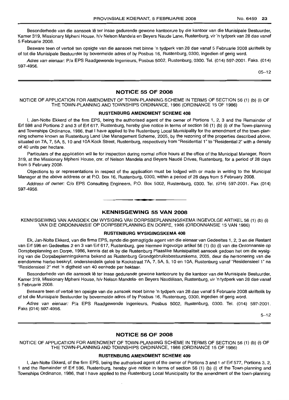Besonderhede van die aansoek lê ter insae gedurende gewone kantoorure by die kantoor van die Munisipale Bestuurder, Kamer 319, Missionary Mpheni House, h/v Nelson Mandela en Beyers Naude Lane, Rustenburg, vir 'n tydperk van 28 dae vanaf 5 Februarie 2008.

Besware teen of vertoë ten opsigte van die aansoek met binne 'n tydperk van 28 dae vanaf 5 Februarie 2008 skriftelik by of tot die Munisipale Bestuurder by bovermelde adres of by Posbus 16, Rustenburg, 0300, ingedien of gerig word.

Adres van eienaar: P/a EPS Raadgewende Ingenieurs, Posbus 5002, Rustenburg, 0300. Tel. (014) 597-2001. Faks. (014) 597-4956.

05-12

## **NOTICE 55 OF 2008**

#### NOTICE OF APPLICATION FOR AMENDMENT OF TOWN-PLANNING SCHEME IN TERMS OF SECTION 56 (1) (b) (i) OF THE TOWN-PLANNING AND TOWNSHIPS ORDINANCE, 1986 (ORDINANCE 15 OF 1986)

#### **RUSTENBURG AMENDMENT SCHEME 408**

I, Jan-Nolte Ekkerd of the firm EPS, being the authorised agent of the owner of Portions 1, 2, 3 and the Remainder of Erf 598 and Portions 2 and 3 of Erf 617, Rustenburg, hereby give notice in terms of section 56 (1) (b) (i) of the Town-planning and Townships Ordinance, 1986, that I have applied to the Rustenburg Local Municipality for the amendment of the town-planning scheme known as Rustenburg Land Use Management Scheme, 2005, by the rezoning of the properties described above, situated on 7A, 7, 5A, 5, 10 and 1OAKock Street, Rustenburg, respectively from "Residential 1"to "Residential 2" with a density of 40 units per hectare.

Particulars of the application will lie for inspection during normal office hours at the office of the Municipal Manager, Room 319, at the Missionary Mpheni House, cnr, of Nelson Mandela and Beyers Naude Drives, Rustenburg, for a period of 28 days from 5 February 2008.

Objections to or representations in respect of the application must be lodged with or made in writing to the Municipal Manager at the above address or at P.O. Box 16, Rustenburg, 0300, within a period of 28 days from 5 February 2008.

Address of owner: C/o EPS Consulting Engineers, P.O. Box 5002, Rustenburg, 0300. Tel. (014) 597-2001. Fax (014) 597-4956.

**- .**

#### **KENNISGEWING 55 VAN 2008**

KENNISGEWING VAN AANSOEK OM WYSIGING VAN DORPSBEPLANNINGSKEMA INGEVOLGE ARTIKEL 56 (1) (b) (i) VAN DIE ORDONNANSIE OP DORPSBEPLANNING EN DORPE, 1986 (ORDONNANSIE 15 VAN 1986)

#### **RUSTENBURG WYSIGINGSKEMA 408**

Ek, Jan-Nolte Ekkerd, van die firma EPS, synde die gemagtigde agent van die eienaar van Gedeeltes 1, 2, 3 en die Restant van Erf 598 en Gedeeltes 2 en 3 van Erf 617, Rustenburg, gee hiermee ingevolge artikel 56 (1) (b) (i) van die Ordonnansie op Dorspbeplanning en Dorpe, 1986, kennis dat ek by die Rustenburg Plaaslike Munisipaliteit aansoek gedoen het om die wysiging van die Dorpsbeplanningskema bekend as Rustenburg Grondgebruiksbestuurskema, 2005, deur die hersonering van die eiendomme hierbo beskryf, onderskeidelik geleë te Kockstraat 7A, 7, 5A, 5, 10 en 10A, Rustenburg vanaf "Residensiee! 1" na "Residensieel 2" met 'n digtheid van 40 eenhede per hektaar.

Besonderhede van die aansoek lê ter insae gedurende gewone kantoorure by die kantoor van die Munisipale Bestuurder, Kamer 319, Missionary Mpheni House, h/v Nelson Mandela- en Beyers Naudelaan, Rustenburg, vir 'n tydperk van 28 dae vanaf 5 Februarie 2008.

Besware teen of vertoë ten opsigte van die aansoek moet binne 'n tydperk van 28 dae vanaf 5 Februarie 2008 skriftelik by of tot die Munisipale Bestuurder by bovermelde adres of by Posbus 16, Rustenburg, 0300, ingedien of gerig word.

Adres van eienaar: P/a EPS Raadgewende Ingenieurs, Posbus 5002, Rustenburg, 0300. Tel. (014) 597-2001. Faks (014) 597-4956.

5-12

#### **NOTICE 56 OF 2008**

NOTICE OF APPLICATION FOR AMENDMENT OF TOWN-PLANNING SCHEME IN TERMS OF SECTION 56 (1) (b) (i) OF THE TOWN-PLANNING AND TOWNSHIPS ORDINANCE, 1986 (ORDINANCE 15 OF 1986)

#### **RUSTENBURG AMENDMENT SCHEME 409**

I, Jan-Nolte Ekkerd, of the firm EPS, being the authorised agent of the owner of Portions 3 and 1 of Erf 577, Portions 3, 2, 1 and the Remainder of Erf 596, Rustenburg, hereby give notice in terms of section 56 (1) (b) (i) of the Town-planning and Townships Ordinance, 1986, that I have applied to the Rustenburg Local Municipality for the amendment of the town-planning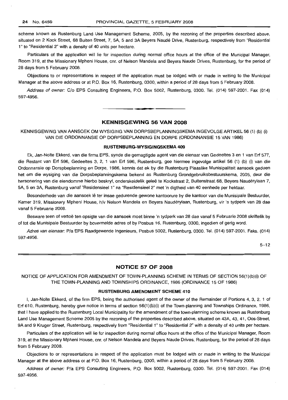scheme known as Rustenburg Land Use Management Scheme, 2005, by the rezoning of the properties described above, situated on 2 Kock Street, 68 Buiten Street, 7, 5A, 5 and 3A Beyers Naude Drive, Rustenburg, respectively from "Residential 1" to "Residential 2" with a density of 40 units per hectare.

Particulars of the application will lie for inspection during normal office hours at the office of the Municipal Manager, Room 319, at the Missionary Mpheni House, em. of Nelson Mandela and Beyers Naude Drives, Rustenburg, for the period of 28 days from 5 February 2008.

Objections to or representations in respect of the application must be lodged with or made in writing to the Municipal Manager at the above address or at P.O. Box 16, Rustenburg, 0300, within a period of 28 days from 5 February 2008.

Address of owner: C/o EPS Consulting Engineers, P.O. Box 5002, Rustenburg, 0300. Tel. (014) 597-2001. Fax (014) 597-4956.

## **KENNISGEWING 56 VAN 2008**

**•**

KENNISGEWING VAN AANSOEK OM WYSIGING VAN DORPSBEPLANNINGSKEMA INGEVOLGE ARTIKEL 56 (1) (b) (i) VAN DIE ORDONNANSIE OP DORPSBEPLANNING EN DORPE (ORDONNANSIE 15 VAN 1986)

#### **RUSTENBURG-WYSIGINGSKEMA 409**

Ek, Jan-Nolte Ekkerd, van die firma EPS, synde die gemagtigde agent van die eienaar van Gedeeltes 3 en 1 van Erf 577, die Restant van Erf 596, Gedeeltes 3, 2, 1 van Erf 596, Rustenburg, gee hiermee ingevolge artikel 56 (1) (b) (i) van die Ordonnansie op Dorspbeplanning en Darpe, 1986, kennis dat ek by die Rustenburg Plaaslike Munisipaliteit aansoek gedoen het om die wysiging van die Dorpsbeplanningskema bekend as Rustenburg Grondgebruiksbestuurskema, 2005, deur die hersonering van die eiendomme hierbo beskryf, onderskeidelik geleë te Kockstraat 2, Buitenstraat 68, Beyers Naudérylaan 7, 5A, 5 en 3A, Rustenburg vanaf "Residensieel 1" na "Residensieel 2" met 'n digtheid van 40 eenhede per hektaar.

Besonderhede van die aansoek lê ter insae gedurende gewone kantoorure by die kantoor van die Munisipale Bestuurder, Kamer 319, Missionary Mpheni House, h/v Nelson Mandela en Beyers Nauderylaan, Rustenburg, vir 'n tydperk van 28 dae vanaf 5 Februarie 2008.

Besware teen of vertoë ten opsigte van die aansoek moet binne 'n tydperk van 28 dae vanaf 5 Februarie 2008 skriftelik by of tot die Munisipale Bestuurder by bovermelde adres of by Posbus 16, Rustenburg, 0300, ingedien of gerig word.

Adres van eienaar: Pia EPS Raadgewende Ingenieurs, Posbus 5002, Rustenburg, 0300. Tel. (014) 597-2001. Faks. (014) 597-4956.

5-12

## **NOTICE 57 OF 2008**

NOTICE OF APPLICATION FOR AMENDMENT OF TOWN-PLANNING SCHEME IN TERMS OF SECTION 56(1)(b)(i) OF THE TOWN-PLANNING AND TOWNSHIPS ORDINANCE, 1986 (ORDINANCE 15 OF 1986)

#### **RUSTENBURG AMENDMENT SCHEME 410**

I, Jan-Nolte Ekkerd, of the firm EPS, being the authorised agent of the owner of the Remainder of Portions 4, 3, 2, 1 of Erf 610, Rustenburg, hereby give notice in terms of section 56(1)(b)(i) of the Town-planning and Townships Ordinance, 1986, that I have applied to the Rustenburg Local Municipality for the amendment of the town-planning scheme known as Rustenburg Land Use Management Scheme 2005 by the rezoning of the properties described above, situated on 43A, 43, 41, Oos-Street, 9A and 9 Kruger Street, Rustenburg, respectively from "Residential 1" to "Residential 2" with a density of 40 units per hectare.

Particulars of the application will lie for inspection during normal office hours at the office of the Municipal Manager, Room 319, at the Missionary Mpheni House, em. of Nelson Mandela and Beyers Naude Drives, Rustenburg, for the period of 28 days from 5 February 2008.

Objections to or representations in respect of the application must be lodged with or made in writing to the Municipal Manager at the above address or at P.O. Box 16, Rustenburg, 0300, within a period of 28 days from 5 February 2008.

Address of owner: Pia EPS Consulting Engineers, P.O. Box 5002, Rustenburg, 0300. Tel. (014) 597-2001. Fax (014) 597-4956.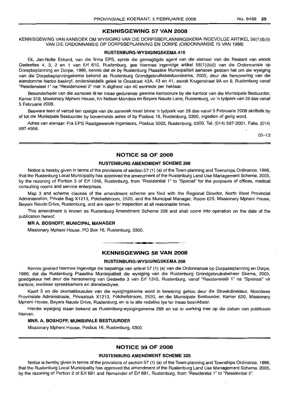#### **KENNISGEWING 57 VAN 2008**

KENNISGEWING VAN AANSOEK OM WYSIGING VAN DIE DORPSBEPLANNINGSKEMA INGEVOLGE ARTIKEL 56(1)(b)(i) VAN DIE ORDONNANSIE OP DORPSBEPLANNING EN DORPE (ORDONNANSIE 15 VAN 1986)

#### **RUSTENBURG-WYSIGINGSKEMA 410**

Ek, Jan-Nolte Ekkerd, van die firma EPS, synde die gemagtigde agent van die eienaar van die Restant van asook Gedeeltes 4, 3, 2 en 1 van Erf 610, Rustenburg, gee hiermee ingevolge artikel 56(1)(b)(i) van die Ordonnansie op Dorspbeplanning en Dorpe, 1986, kennis dat ek by Rustenburg Plaaslike Munisipaliteit aansoek gedoen het om die wysiging van die Dorpsbeplanningskema bekend as Rustenburg Grondgebruiksbestuurskema, 2005, deur die hersonering van die eiendomme hierbo beskryf, onderskeidelik geleë te Oosstraat 43A, 43 en 41, asook Krugerstraat 9A en 9, Rustenburg vanaf "Residensieel 1" na "Residensieel 2" met 'n digtheid van 40 eenhede per hektaar.

Besonderhede van die aansoek lê ter insae gedurende gewone kantoorure by die kantoor van die Munisipale Bestuurder, Kamer 319, Missionary Mpheni House, h/v Nelson Mandela en Beyers Naude Lane, Rustenburg, vir 'n tydperk van 28 dae vanaf 5 Februarie 2008.

Besware teen of vertoe ten opsigte van die aansoek moet binne 'n tydperk van 28 dae vanaf 5 Februarie 2008 skriftelik by of tot die Munisipale Bestuurder by bovermelde adres of by Posbus 16, Rustenburg, 0300, ingedien of gerig word.

Adres van eienaar: Pia EPS Raadgewende Ingenieurs, Posbus 5002, Rustenburg, 0300. Tel. (014) 597-2001. Faks. (014) 597-4956.

05-12

## **NOTICE 58 OF 2008**

#### **RUSTENBURG AMENDMENT SCHEME 268**

Notice is hereby given in terms of the provisions of section 57 (1) (a) of the Town-planning and Townships Ordinance, 1986, that the Rustenburg Local Municipality has approved the amendment of the Rustenburg Land Use Management Scheme, 2005, by the rezoning of Portion 3 of Erf 1245, Rustenburg, from "Residential 1" to "Special" for the purposes of offices, medical consulting rooms and service enterprises.

Map 3 and scheme clauses of the amendment scheme are filed with the Regional Director, North West Provincial Administration, Private Bag X1213, Potchefstroom, 2520, and the Municipal Manager, Room 620, Missionary Mpheni House, Beyers Naude Drive, Rustenburg, and are open for inspection at all reasonable times.

This amendment is known as Rustenburg Amendment Scheme 268 and shall come into operation on the date of the publication hereof.

#### **MR A.** BOSHOFF, **MUNICIPAL MANAGER**

Missionary Mpheni House, PO Box 16, Rustenburg, 0300.

## **KENNISGEWING 58 VAN 2008**

**• •**

#### **RUSTENBURG-WYSIGINGSKEMA 268**

Kennis geskied hiermee ingevolge die bepalings van artikel 57 (1) (a) van die Ordonnansie op Dorpsbeplanning en Dorpe, 1986, dat die Rustenburg Plaaslike Munisipaliteit die wysiging van die Rustenburg Grondgebruiksbeheer Skema, 2005, goedgekeur het deur die hersonering van Gedeelte 3 van Erf 1245, Rustenburg, vanaf "Residensieël 1" na "Spesiaal" vir kantore, mediese spreekkamers en diensbedrywe.

Kaart 3 en die skemaklousules van die wysigingskema word in bewaring gehou deur die Streekdirekteur, Noordwes Provinsiale Administrasie, Privaatsak X1213, Potchefstroom, 2520, en die Munisipale Bestuurder, Kamer 620, Missionary Mpheni House, Beyers Naude Drive, Rustenburg, en is te aile redelike tye ter insae beskikbaar.

Hierdie wysiging staan bekend as Rustenburg-wysigingskema 268 en sal in werking tree op die datum van publikasie hiervan.

#### **MNR. A. BOSHOFF, MUNISIPALE BESTUURDER**

Missionary Mpheni House, Posbus 16, Rustenburg, 0300.

## **NOTICE 59 OF 2008**

#### **RUSTENBURG AMENDMENT SCHEME 325**

Notice is hereby given in terms of the provisions of section 57 (1) (a) of the Town-planning and Townships Ordinance, 1986, that the Rustenburg Local Municipality has approved the amendment of the Rustenburg Land Use Management Scheme, 2005, by the rezoning of Portion 2 of Erf 691 and Remainder of Erf 691, Rustenburg, from "Residential 1" to "Residential 2".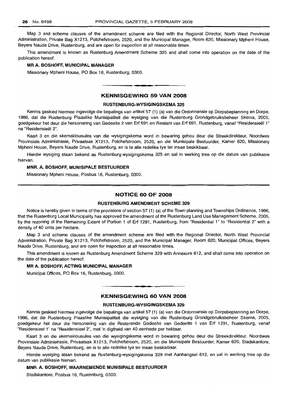Map 3 and scheme clauses of the amendment scheme are filed with the Regional Director, North West Provincial Administration, Private Bag X1213, Potchefstroom, 2520, and the Municipal Manager, Room 620, Missionary Mpheni House, Beyers Naude Drive, Rustenburg, and are open for inspection at all reasonable times.

This amendment is known as Rustenburg Amendment Scheme 325 and shall come into operation on the date of the publication hereof.

#### **MR A.** BOSHOFF, **MUNICIPAL MANAGER**

Missionary Mpheni House, PO Box 16, Rustenburg, 0300 .

## **KENNISGEWING 59 VAN 2008**

**•**

#### **RUSTENBURG-WYSIGINGSKEMA 325**

Kennis geskied hiermee ingevolge die bepalings van artikel 57 (1) (a) van die Ordonnansie op Dorpsbeplanning en Dorpe, 1986, dat die Rustenburg Plaaslike Munisipaliteit die wysiging van die Rustenburg Grondgebruiksbeheer Skema, 2005, goedgekeur het deur die hersonering van Gedeelte 2 van Erf 691 en Restant van Erf 691, Rustenburg, vanaf "Besidensieel 1" na "Residensieel 2".

Kaart 3 en die skemaklousules van die wysigingskema word in bewaring gehou deur die Streekdirekteur, Noordwes Provinsiale Administrasie, Privaatsak X1213, Potchefstroom, 2520, en die Munisipale Bestuurder, Kamer 620, Missionary Mpheni House, Beyers Naude Drive, Rustenburg, en is te aile redelike tye ter insae beskikbaar.

Hierdie wysiging staan bekend as Rustenburg-wysigingskema 325 en sal in werking tree op die datum van publikasie hiervan.

#### **MNR. A. BOSHOFF, MUNISIPALE BESTUURDER**

Missionary Mpheni House, Posbus 16, Rustenburg, 0300.

#### **NOTICE 60 OF 2008**

#### **RUSTENBURG AMENDMENT SCHEME 329**

Notice is hereby given in terms of the provisions of section 57 (1) (a) of the Town-planning and Townships Ordinance, 1986, that the Rustenburg Local Municipality has approved the amendment of the Rustenburg Land Use Management Scheme, 2005, by the rezoning of the Remaining Extent of Portion 1 of Erf 1291, Rustenburg, from "Residential 1" to "Residential 2" with a density of 40 units per hectare.

Map 3 and scheme clauses of the amendment scheme are filed with the Regional Director, North West Provincial Administration, Private Bag X1213, Potchefstroom, 2520, and the Municipal Manager, Room 620, Municipal Offices, Beyers Naude Drive, Rustenburg, and are open for inspection at all reasonable times.

This amendment is known as Rustenburg Amendment Scheme 329 with Annexure 612, and shall come into operation on the date of the publication hereof.

#### **MR A. BOSHOFF, ACTING MUNICIPAL MANAGER**

Municipal Offices, PO Box 16, Rustenburg, 0300.

#### **KENNISGEWING 60 VAN 2008**

**•**

#### **RUSTENBURG-WYSIGINGSKEMA 329**

Kennis geskied hiermee ingevolge die bepalings van artikel 57 (1) (a) van die Ordonnansie op Dorpsbeplanning en Dorpe, 1986, dat die Rustenburg Plaaslike Munisipaliteit die wysiging van die Rustenburg Grondgebruiksbeheer Skema, 2005, goedgekeur het deur die hersonering van die Resterende Gedeelte van Gedeelte 1 van Erf 1291, Rustenburg, vanaf "ResidensieeI1" na "Residensieel 2", met 'n digtheid van 40 eenhede per hektaar.

Kaart 3 en die skemaklousules van die wysigingskema word in bewaring gehou deur die Streekdirekteur, Noordwes Provinsiale Administrasie, Privaatsak X1213, Potchefstroom, 2520, en die Munisipale Bestuurder, Kamer 620, Stadskantore, Beyers Naude Drive, Rustenburg, en is te aile redelike tye ter insae beskikbaar.

Hierdie wysiging staan bekend as Rustenburg-wysigingskema 329 met Aanhangsel 612, en sal in werking tree op die datum van publikasie hiervan.

#### **MNR. A. BOSHOFF, WAARNEMENDE MUNISIPALE BESTUURDER**

Stadskantore, Posbus 16, Rustenburg, 0300.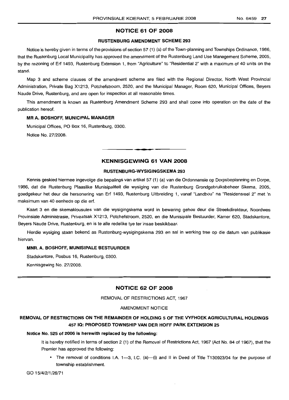## NOTICE 61 OF 2008

#### RUSTENBURG AMENDMENT SCHEME 293

Notice is hereby given in terms of the provisions of section 57 (1) (a) of the Town-planning and Townships Ordinance, 1986, that the Rustenburg Local Municipality has approved the amendment of the Rustenburg Land Use Management Scheme, 2005, by the rezoning of Erf 1493, Rustenburg Extension 1, from "Agriculture" to "Residential 2" with a maximum of 40 units on the stand.

Map 3 and scheme clauses of the amendment scheme are filed with the Regional Director, North West Provincial Administration, Private Bag X1213, Potchefstroom, 2520, and the Municipal Manager, Room 620, Municipal Offices, Beyers Naude Drive, Rustenburg, and are open for inspection at all reasonable times.

This amendment is known as Rustenburg Amendment Scheme 293 and shall come into operation on the date of the publication hereof.

#### MR A. BOSHOFF, MUNICIPAL MANAGER

Municipal Offices, PO Box 16, Rustenburg, 0300.

Notice No. 27/2008.

## KENNISGEWING 61 VAN 2008

**-**

## RUSTENBURG-WYSIGINGSKEMA 293

Kennis geskied hiermee ingevolge die bepalings van artikel 57 (1) (a) van die Ordonnansie op Dorpsbeplanning en Dorpe, 1986, dat die Rustenburg Plaaslike Munisipaliteit die wysiging van die Rustenburg Grondgebruiksbeheer Skema, 2005, goedgekeur het deur die hersonering van Erf 1493, Rustenburg Uitbreiding 1, vanaf "Landbou" na "Residensieel 2" met 'n maksimum van 40 eenhede op die erf.

Kaart 3 en die skemaklousules van die wysigingskema word in bewaring gehou deur die Streekdirekteur, Noordwes Provinsiale Administrasie, Privaatsak X1213, Potchefstroom, 2520, en die Munisipale Bestuurder, Kamer 620, Stadskantore, Beyers Naude Drive, Rustenburg, en is te aile redelike tye ter insae beskikbaar.

Hierdie wysiging staan bekend as Rustenburg-wysigingskema 293 en sal in werking tree op die datum van publikasie hiervan.

#### MNR. A. BOSHOFF, MUNISIPALE BESTUURDER

Stadskantore, Posbus 16, Rustenburg, 0300.

Kennisgewing No. 27/2008.

## NOTICE 62 OF 2008

REMOVAL OF RESTRICTIONS ACT, 1967

#### AMENDMENT NOTICE

## REMOVAL OF RESTRICTIONS ON THE REMAINDER OF HOLDING 5 OF THE VYFHOEK AGRICULTURAL HOLDINGS 457 IQ: PROPOSED TOWNSHIP VAN DER HOFF PARK EXTENSION 25

#### Notice No. 525 of 2006 is herewith replaced by the following:

It is hereby notified in terms of section 2 (1) of the Removal of Restrictions Act, 1967 (Act No. 84 of 1967), that the Premier has approved the following:

• The removal of conditions I.A. 1--3, I.C. (a)-(i) and II in Deed of Title T130923/04 for the purpose of township establishment.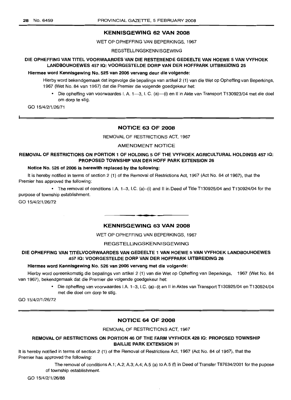#### KENNISGEWING 62 VAN 2008

WET OP OPHEFFING VAN BEPERKINGS, 1967

REGSTELLINGSKENNISGEWING

## DIE OPHEFFING VAN TITEL VOORWAARDES VAN DIE RESTERENDE GEDEELTE VAN HOEWE 5 VAN VYFHOEK LANDBOUHOEWES 457 IQ: VOORGESTELDE DORP VAN DER HOFFPARK UITBREIDING 25

## Hiermee word Kennisgewing No. 525 van 2006 vervang deur die volgende:

Hierby word bekendgemaak dat ingevolge die bepalings van artikel 2 (1) van die Wet op Opheffing van Beperkings, 1967 (Wet No. 84 van 1967) dat die Premier die volgende goedgekeur het:

• Die opheffing van voorwaardes I. A. 1-3, I. C. (a)--(i) en II in Akte van Transport T130923/04 met die doel om dorp te stig.

GO 15/4/2/1/26/71

## NOTICE 63 OF 2008

REMOVAL OF RESTRICTIONS ACT, 1967

AMENDMENT NOTICE

## REMOVAL OF RESTRICTIONS ON PORTION 1 OF HOLDING 5 OF THE VYFHOEK AGRICULTURAL HOLDINGS 457 IQ: PROPOSED TOWNSHIP VAN DER HOFF PARK EXTENSION 26

#### Notice No. 526 of 2006 is herewith replaced by the following:

It is hereby notified in terms of section 2 (1) of the Removal of Restrictions Act, 1967 (Act No. 84 of 1967), that the Premier has approved the following:

• The removal of conditions IA 1-3, I.C. (a)-(i) and II in Deed of Title T130925/04 and T130924/04 for the purpose of township establishment.

GO 15/4/2/1/26/72

#### KENNISGEWING 63 VAN 2008

**-.**

WET OP OPHEFFING VAN BEPERKINGS, 1967

#### REGSTELLINGSKENNISGEWING

## DIE OPHEFFING VAN TITELVOORWAARDES VAN GEDEELTE 1 VAN HOEWE 5 VAN VYFHOEK LANDBOUHOEWES 457 IQ: VOORGESTELDE DORP VAN DER HOFFPARK UITBREIDING 26

## Hiermee word Kennisgewing No. 526 van 2006 vervang met die volgende:

Hierby word ooreenkomstig die bepalings van artikel 2 (1) van die Wet op Opheffing van Beperkings, 1967 (Wet No. 84 van 1967), bekendgemaak dat die Premier die volgende goedgekeur het:

> • Die opheffing van voorwaardes IA 1-3, I.C. (a)-(i) en II in Aktes van Transport T130925/04 en T130924/04 met die doel om dorp te stig.

GO 15/4/2/1/26/72

#### NOTICE 64 OF 2008

REMOVAL OF RESTRICTIONS ACT, 1967

## REMOVAL OF RESTRICTIONS ON PORTION 46 OF THE FARM VYFHOEK 428 IQ: PROPOSED TOWNSHIP BAILLIE PARK EXTENSION 31

It is hereby notified in terms of section 2 (1) of the Removal of Restrictions Act, 1967 (Act No. 84 of 1967), that the Premier has approved the following:

> The removal of conditions A.1; A.2; A.3; A.4; A.5 (a) to A.5 (f) in Deed of Transfer T87634/2001 for the pupose of township establishment.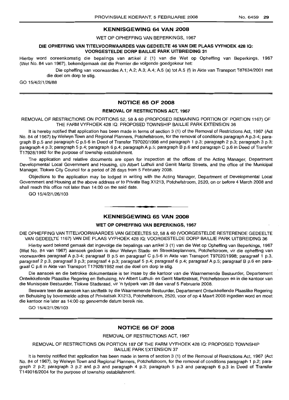## KENNISGEWING 64 VAN 2008

WET OP OPHEFFING VAN BEPERKINGS, 1967

#### DIE OPHEFFING VAN TITELVOORWAARDES VAN GEDEELTE 46 VAN DIE PLAAS VYFHOEK 428 10: VOORGESTELDE DORP BAILLIE PARK UITBREIDING 31

Hierby word ooreenkomstig die bepalings van artikel 2 (1) van die Wet op Opheffing van Beperkings, 1967 (Wet No. 84 van 1967), bekendgemaak dat die Premier die volgende goedgekeur het:

> Die opheffing van voorwaardes A.1; A.2; A.3; A.4; A.5 (a) tot A.5 (f) in Akte van Transport T87634/2001 met die doel om dorp te stig.

GO 15/4/2/1/26/88

## NOTICE 65 OF 2008

## REMOVAL OF RESTRICTIONS ACT, 1967

#### REMOVAL OF RESTRICTIONS ON PORTIONS 52, 58 & 60 (PROPOSED REMAINING PORTION OF PORTION 1167) OF THE FARM VYFHOEK 428 IQ: PROPOSED TOWNSHIP BAILLIE PARK EXTENSION 36

It is hereby notified that application has been made in terms of section 3 (1) of the Removal of Restrictions Act, 1967 (Act No. 84 of 1967) by Welwyn Town and Regional Planners, Potchefstroom, for the removal of conditions paragraph A p.3-4; paragraph B p.5 and paragraph C p.5-6 in Deed of Transfer T97020/1998 and paragraph 1 p.3; paragraph 2 p.3; paragraph 3 p.3; paragraph 4 p.3; paragraph 5 p.4; paragraph 6 p.4; paragraph A p.5; paragraph B p.6 and paragraph C p.6 in Deed of Transfer T17928/1982 for the purpose of township establishment.

The application and relative documents are open for inspection at the offices of the Acting Manager, Department Developmental Local Government and Housing, c/o Albert Luthuli and Gerrit Maritz Streets, and the office of the Municipal Manager, Tlokwe City Council for a period of 28 days from 5 February 2008.

Objections to the application may be lodged in writing with the Acting Manager, Department of Developmental Local Government and Housing at the above address or to Private Bag X1213, Potchefstroom, 2520, on or before 4 March 2008 and shall reach this office not later than 14:00 on the said date.

GO 15/4/2/1/26/103

## **•** KENNISGEWING 65 VAN 2008

#### WET OP OPHEFFING VAN BEPERKINGS, 1967

DIE OPHEFFING VAN TITELVOORWAARDES VAN GEDEELTES 52, 58 & 60 (VOORGESTELDE RESTERENDE GEDEELTE VAN GEDEELTE 1167) VAN DIE PLAAS VYFHOEK 428 IQ: VOORGESTELDE DORP BAILLIE PARK UITBREIDING 36

Hierby word bekend gemaak dat ingevolge die bepalings van artikel 3 (1) van die Wet op Opheffing van Beperkings, 1967 (Wet No. 84 van 1967) aansoek gedoen is deur Welwyn Stads- en Streekbeplanners, Potchefstroom, vir die opheffing van voorwaardes paragraaf A p.3-4; paragraaf B p.5 en paragraaf C p.5-6 in Akte van Transport T97020/1998; paragraaf 1 p.3, paragraaf 2 p.3, paragraaf 3 p.3; paragraaf 4 p.3; paragraaf 5 p.4; paragraaf 6 p.4; paragraaf A p.5; paragraaf B p.6 en paragraaf C p.6 in Akte van Transport T17928/1982 met die doel om dorp te stig.

Die aansoek en die betrokke dokumentasie is ter insae by die kantoor van die Waarnemende Bestuurder, Departement Ontwikkellende Plaaslike Regering en Behuising, h/v Albert Luthuli- en Gerrit Maritzstraat, Potchefstroom en in die kantoor van die Munisipale Bestuurder, Tlokwe Stadsraad, vir 'n tydperk van 28 dae vanaf 5 Februarie 2008.

Besware teen die aansoek kan skriftelik by die Waarnemende Bestuurder, Departement Ontwikkellende Plaaslike Regering en Behuising by bovermelde adres of Privaatsak X1213, Potchefstroom, 2520, voor of op 4 Maart 2008 ingedien word en moet die kantoor nie later as 14:00 op genoemde datum bereik nie.

GO 15/4/2/1/26/103

#### NOTICE 66 OF 2008

## REMOVAL OF RESTRICTIONS ACT, 1967

REMOVAL OF RESTRICTIONS ON PORTION 187 OF THE FARM VYFHOEK 428 IQ: PROPOSED TOWNSHIP BAILLIE PARK EXTENSION 37

It is hereby notified that application has been made in terms of section 3 (1) of the Removal of Restrictions Act, 1967 (Act No. 84 of 1967), by Welwyn Town and Regional Planners, Potchefstroom, for the removal of conditions paragraph 1 p.2; paragraph 2 p.2; paragraph 3 p.2 and p.3 and paragraph 4 p.3; paragraph 5 p.3 and paragraph 6 p.3 in Deed of Transfer T149016/2004 for the purpose of township establishment.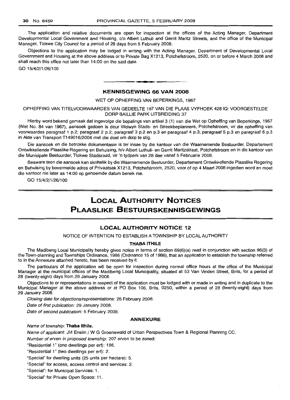The application and relative documents are open for inspection at the offices of the Acting Manager, Department Developmental Local Government and Housing, c/o Albert Luthuli and Gerrit Maritz Streets, and the office of the Municipal Manager, Tlokwe City Council for a period of 28 days from 5 February 2008.

Objections to the application may be lodged in writing with the Acting Manager, Department of Developmental Local Government and Housing at the above address or to Private Bag X1213, Potchefstroom, 2520, on or before 4 March 2008 and shall reach this office not later than 14:00 on the said date.

GO 15/4/2/1/26/100

#### **KENNISGEWING 66 VAN 2008**

**•**

#### WET OP OPHEFFING VAN BEPERKINGS, 1967

OPHEFFING VAN TITELVOORWAARDES VAN GEDEELTE 187 VAN DIE PLAAS VYFHOEK 42810: VOORGESTELDE DORP BAILLIE PARK UITBREIDING 37

Hierby word bekend gemaak dat ingevolge die bepalings van artikel 3 (1) van die Wet op Opheffing van Beperkings, 1967 (Wet No. 84 van 1967), aansoek gedoen is deur Welwyn Stads- en Streekbeplanners, Potchefstroom, vir die opheffing van voorwaardes paragraaf 1 p.2; paragraaf 2 p.2; paragraaf 3 p.2 en p.3 en paragraaf 4 p.3; paragraaf 5 p.3 en paragraaf 6 p.3 in Akte van Transport T149016/2004 met die doel om dorp te stig.

Die aansoek en die betrokke dokumentasie is ter insae by die kantoor van die Waarnemende Bestuurder, Departement Ontwikkellende Plaaslike Regering en Behuising, h/v Albert Luthuli- en Gerrit Maritzstraat, Potchefstroom en in die kantoor van die Munisipale Bestuurder, Tlokwe Stadsraad, vir 'n tydperk van 28 dae vanaf 5 Februarie 2008.

Besware teen die aansoek kan skriftelik by die Waarnemende Bestuurder, Departement Ontwikkellende Plaaslike Regering en Behuising by bovermelde adres of Privaatsak X1213, Potchefstroom, 2520, voor of op 4 Maart 2008 ingedien word en moet die kantoor nie later as 14:00 op genoemde datum bereik nie.

GO *15/4/2/1/26/100*

## **LOCAL AUTHORITY NOTICES PLAASLIKE BESTUURSKENNISGEWINGS**

## **LOCAL AUTHORITY NOTICE 12**

NOTICE OF INTENTION TO ESTABLISH A TOWNSHIP BY LOCAL AUTHORITY

#### **THABA ITHILE**

The Madibeng Local Municipality hereby gives notice in terms of section 69(6)(a) read in conjunction with section 96(3) of the Town-planning and Townships Ordinance, 1986 (Ordinance 15 of 1986), that an application to establish the township referred to in the Annexure attached hereto, has been received by it.

The particulars of the application will be open for inspection during normal office hours at the office of the Municipal Manager at the municipal offices of the Madibeng Local Municipality, situated at 53 Van Velden Street, Brits, for a period of 28 (twenty-eight) days from 29 January 2008.

Objections to or representations in respect of the application must be lodged with or made in writing and in duplicate to the Municipal Manager at the above address or at PO Box 106, Brits, 0250, within a period of 28 (twenty-eight) days from 29 January 2008.

Closing date for objections/representations: 26 February 2008.

Date of first publication: 29 January 2008.

Date of second publication: 5 February 2008.

#### **ANNEXURE**

Name of township: **Thaba Ithile.**

Name of applicant: JM Enslin / W G Groenewald of Urban Perspectives Town & Regional Planning CC.

Number of erven in proposed township: 207 erven to be zoned:

"Residential 1" (one dwellings per ert): 186.

"Residential 1" (two dwellings per erf): 2.

"Special" for dwelling units (25 units per hectare): 5.

"Special" for access, access control and services: 2.

"Special": for Municipal Services: 1.

"Special" for Private Open Space: 11.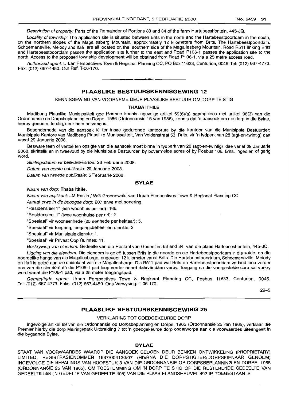Description of property: Parts of the Remainder of Portions 83 and 84 of the farm Hartebeestfontein, 445-JQ.

Locality of township: The application site is situated between Brits in the north and the Hartebeestpoortdam in the south, on the northern slopes of the Magaliesberg Mountain, approximately 12 kilometers from Brits. The Hartebeestpoortdam, Schoemansville, Melody and Ifafi are all located on the southern side of the Magaliesberg Mountain. Road R511 linking Brits and Hartebeestpoortdam passes the application site further to the east and Road P106-1 passes the application site to the north. Access to the proposed township development will be obtained from Road P106-1, via a 25 metre access road.

Authorised agent: Urban Perspectives Town & Regional Planning CC, PO Box 11633, Centurion, 0046. Tel: (012) 667-4773. Fax: (012) 667-4450. Our Ref. T-06-170. .**- .**

## **PLAASLIKE BESTUURSKENNISGEWING 12**

KENNISGEWING VAN VOORNEME DEUR PLAASLIKE BESTUUR OM DORP TE STIG

#### **THABA ITHILE**

Madibeng Plaaslike Munisipaliteit gee hiermee kennis ingevolge artikel 69(6) (a) saamgelees met artikel 96(3) van die Ordonnansie op Dorpsbeplanning en Dorpe, 1986 (Ordonnansie 15 van 1986), kennis dat 'n aansoek om die dorp in die Bylae, hierby genoem, te stig, deur hom ontvang is.

Besonderhede van die aansoek lê ter insae gedurende kantoorure by die kantoor van die Munisipale Bestuurder: Munisipale Kantore van Madibeng Plaaslike Munisipaliteit, Van Veldenstraat 53, Brits, vir 'n tydperk van 28 (agt-en-twintig) dae vanaf 29 Januarie 2008.

Besware teen of vertoë ten opsigte van die aansoek moet binne 'n tydperk van 28 (agt-en-twintig) dae vanaf 29 Januarie 2008, skriftelik en in tweevoud by die Munisipale Bestuurder, by bovermelde adres of by Posbus 106, Brits, ingedien of gerig word.

Sluitingsdatum vir besware/vertoë: 26 Februarie 2008.

Datum van eerste publikasie: 29 Januarie 2008.

Datum van tweede publikasie: 5 Februarie 2008.

#### **BYLAE**

Naam van dorp: **Thaba Ithile.**

Naam van applikant: JM Enslin / WG Groenewald van Urban Perspectives Town & Regional Planning CC.

Aantal erwe in die beoogde dorp: 207 erwe met sonering.

"Residensieel 1" (een woonhuis per ert): 186.

"Residensieel 1" (twee woonhuise per erf): 2.

"Spesiaal" vir wooneenhede (25 eenhede per hektaar): 5.

"Spesiaal" vir toegang, toegangsbeheer en dienste: 2.

"Spesiaal" vir Munisipale dienste: 1.

"Spesiaal" vir Privaat Oop Ruimtes: 11.

Beskrywing van eiendom: Gedeelte van die Restant van Gedeeltes 83 and 84 van die plaas Hartebeestfontein, 445-JQ.

Ligging van die eiendom: Die eiendom is geleë tussen Brits in die noorde en die Hartebeestpoortdam in die suide, op die noordelike hange van die Magaliesberge, ongeveer 12 kilometer vanaf Brits. Die Hartebeestpoortdam, Schoemansville, Melody en Ifafi is geleë aan die suidekant van die Magaliesberge. Die R511 pad wat Brits en Hartebeestpoortdam verbind loop verder oos van die eiendom en die P106-1 pad loop verder noord daarvandaan verby. Toegang na die voorgestelde dorp sal verkry word vanaf die P106-1 pad, via a 25 meter toegangspad.

Gemagtigde agent: Urban Perspectives Town & Regional Planning CC, Posbus 11633, Centurion, 0046. Tel: (012) 667-4773. Faks: (012) 667-4450. Ons Verwysing: T-06-170.

29-5

#### **PLAASLIKE BESTUURSKENNISGEWING 25**

#### VERKLARING TOT GOEDGEKEURDE DORP

Ingevolge artikel 69 van die Ordonnansie op Dorpsbeplanning en Dorpe, 1965 (Ordonnansie 25 van 1965), verklaar die Premier hierby die dorp Meiringspark Uitbreiding 7 tot 'n goedgekeurde dorp onderworpe aan die voorwaardes uiteengesit in die bygaande Bylae.

#### **BYLAE**

STAAT VAN VOORWAARDES WAAROP DIE AANSOEK GEDOEN DEUR BENKEN ONTWIKKELING (PROPRIETARy) LIMITED, REGISTRASIENOMMER 1987/004130/07 (HIERNA DIE DORPSTIGTER/DORPSEIENAAR GENOEM) INGEVOLGE DIE BEPALINGS VAN HOOFSTUK 3 VAN DIE ORDONNANSIE OP DORPSBEPLANNING EN DORPE, 1965 (ORDONNANSIE 25 VAN 1965), OM TOESTEMMING OM 'N DORP TE STIG OP DIE RESTERENDE GEDEELTE VAN GEDEELTE 558 ('N GEDELTE VAN GEDEELTE 405) VAN DIE PLAAS ELANDSHEUVEL 402 IP, TOEGESTAAN IS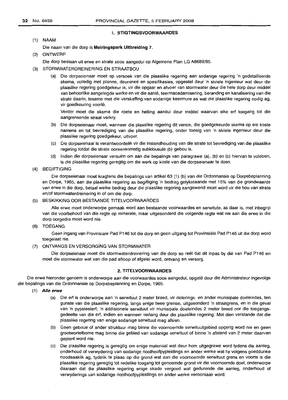#### 1. STIGTINGSVOORWAARDES

 $(1)$  NAAM

Die naam van die dorp is Meiringspark Uitbreiding 7.

(2) ONTWERP

Die dorp bestaan uit erwe en strate soos aangedui op Aigemene Plan LG A8689/85.

- (3) STORMWATERDREINERING EN STRAATBOU
	- (a) Die dorpseienaar moet op versoek van die plaaslike regering aan sodanige regering 'n gedetailleerde skema, volledig met planne, deursneë en spesifikasies, opgestel deur 'n siviele ingenieur wat deur die plaaslike regering goedgekeur is, vir die opgaar en afvoer van stormwater deur die hele dorp deur middel van behoorlike aangelegde werke en vir die aanle, teermaeadamisering, beranding en kanalisering van die strate daarin, tesame met die verskaffing van sodanige keermure as wat die plaaslike regering nodig ag, vir goedkeuring voorle,

Verder moet die skema die roete en helling aandui deur middel waarvan elke ert toegang tot die aangrensende straat verkry.

- (b) Die dorpseienaar moet, wanneer die plaaslike regering dit vereis, die goedgekeurde skema op eie koste namens en tot bevrediging van die plaaslike regering, onder toesig van 'n siviele ingenieur deur die plaaslike regering goedgekeur, uitvoer.
- (e) Die dorpseienaar is verantwoordelik vir die instandhouding van die strate tot bevrediging van die plaaslike regering totdat die strate ooreenkomstig subklousule (b) gebou is.
- (d) Indien die dorpseienaar versuim om aan die bepalings van paragrawe (a), (b) en (e) hiervan te voldoen, is die plaaslike regering geregtig om die werk op koste van die dorpseienaar te doen.
- (4) BEGIFTIGING

Die dorpseienaar moet kragtens die bepalings van artikel 63 (1) (b) van die Ordonnansie op Dorpsbeplanning en Dorpe, 1965, aan die plaaslike regering as begiftiging 'n bedrag gelykstaande met 15% van die grondwaarde van erwe in die dorp, betaal welke bedrag deur die plaaslike regering aangewend moet word vir die bou van strate en/of stormwaterdreinering in of om die dorp.

(5) BESKIKKING OOR BESTAANDE TITELVOORWAARDES

Aile erwe moet onderworpe gemaak word aan bestaande voorwaardes en serwitute, as daar is, met inbegrip van die voorbehoud van die regte op minerale, maar uitgesonderd die volgende regte wat nie aan die erwe in die dorp oorgedra moet word nie.

(6) TOEGANG

Geen ingang van Provinsiale Pad P146 tot die dorp en geen uitgang tot Provinsiale Pad P146 uit die dorp word toegelaat nie.

#### (7) ONTVANGS EN VERSORGING VAN STORMWATER

Die dorpseienaar moet die stormwaterdreinering van die dorp so reel dat dit inpas by die van Pad P146 en moet die stormwater wat van die pad afloop of afgelei word, ontvang en versorg.

#### 2. TITELVOORWAARDES

Die erwe hieronder genoem is onderworpe aan die voorwaardes soos aangedui, opqele deur die Administrateur ingevolge die bepalings van die Ordonnansie op Dorpsbeplanning en Dorpe, 1965.

- (1) AIle erwe
	- (a) Die ert is onderworpe aan 'n serwituut 2 meter breed, vir riolerings- en ander munisipale doeleindes, ten gunste van die plaaslike regering, langs enige twee grense, uitgesonderd 'n straatgrens, en in die geval van 'n pypsteelert, 'n addisionele serwituut vir munisipale doeleindes 2 meter breed oor die toegangsgedeelte van die ert, indien en wanneer verlang deur die plaaslike regering: Met dien verstande dat die plaaslike regering van enige sodanige serwituut mag afsien.
	- (b) Geen geboue of ander struktuur mag binne die voornoemde serwituutgebied opgerig word nie en geen grootwortelbome mag binne die gebied van sodanige serwituut of binne 'n afstand van 2 meter daarvan geplant word nie.
	- (e) Die plaaslike regering is geregtig om enige materiaal wat deur hom uitgegrawe word tydens die aanleg, onderhoud of verwydering van sodanige rioolhoofpypleidings en ander werke wat hy volgens goeddunke noodsaaklik ag, tydelik te plaas op die grond wat aan die voornoemde serwituut grens en voorts is die plaaslike regering geregtig tot redelike toegang tot genoemde grond vir die voornoemde doel, onderworpe daaraan dat die plaaslike regering enige skade vergoed wat gedurende die aanleg, onderhoud of verwyderings van sodanige rioolhoofpypleidings en ander werke veroorsaak word.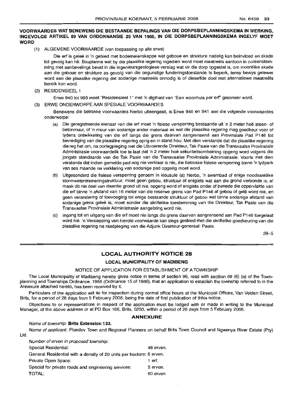## **VOORWAARDES WAT BENEWENS DIE BESTAANDE BEPALINGS VAN DIE DORPSBEPLANNINGSKEMA IN WERKING, INGEVOLGE ARTIKEL 89 VAN ORDONNANSIE 25 VAN 1965, IN DIE DORPSBEPLANNINGSKEMA INGELYF MOET WORD**

(1) ALGEMENE VOORWAARDE (van toepassing op aile erwe)

Die erf is geleë in 'n gebied met bodemeienskappe wat geboue en strukture nadelig kan beïnvloed en skade tot gevolg kan he. Bouplanne wat by die plaaslike regering ingedien word moet maatreels aantoon in ooreenstemming met aanbevelings bevat in die ingenieursgeologiese verslag wat vir die dorp opgestel is, om moontlike skade aan die geboue en strukture as gevolg van die ongunstige funderingstoestande te beperk, tensy bewys gelewer word aan die plaaslike regering dat sodanige maatreëls onnodig is of dieselfde doel met alternatiewe maatreëls bereik kon word.

(2) RESIDENSIEEL 1

Erwe 940 tot 993 moet "Residensieel 1" met 'n digtheid van "Een woonhuis per erf' gesoneer word.

(3) ERWE ONDERWORPE AAN SPESIALE VOORWAARDES

Benewens die betrokke voorwaardes hierbo uiteengesit, is Erwe 940 en 941 aan die volgende voorwaardes onderworpe:

- (a) Die geregistreerde eienaar van die erf moet 'n fisiese versperring bestaande uit 'n 2 meter hoe steen- of betonmuur, of 'n muur van sodanige ander materiaal as wat die plaaslike regering mag goedkeur voor of tydens ontwikkeling van die erf langs die grens daarvan aangrensend aan Provinsiale Pad P146 tot bevrediging van die plaaslike regering oprig en in stand hou: Met dien verstande dat die plaaslike regering die reg het om, na oorlegpleging met die Uitvoerende Direkteur, Tak Paaie van die Transvaalse Provinsiale Administrasie voorwaardelik toe te laat dat 'n 2 meter hoe sekuriteitsomheining opgerig word volgens die jongste standaarde van die Tak Paaie van die Transvaalse Provinsiale Administrasie: Voorts met dien verstande dat indien gemelde pad nog nie verklaar is nie, die betrokke fisiese versperring binne 'n tydperk van ses maande na verklaring van sodanige pad opgerig moet word.
- (b) Uitgesonderd die fisiese versperring genoem in klousule (a) hierbo, 'n swembad of enige noodsaaklike stormwaterdreineringstruktuur, moet geen gebou, struktuur of enigiets wat aan die grond verbonde is, al maak dit nie deel van daardie grond uit nie, opgerig word of enigiets onder of benede die oppervlakte van die erf binne 'n afstand van 16 meter van die reserwe grens van Pad P146 af gebou of gele word nie, en geen verandering of toevoeging tot enige bestaande struktuur of gebou wat binne sodanige afstand van sodanige grens geleë is, moet sonder die skriftelike toestemming van die Direkteur, Tak Paaie van die Transvaalse Provinsiale Administrasie aangebring word nie.
- (c) Ingang tot en uitgang van die erf moet nie langs die grens daarvan aangrensend aan Pad P146 toegelaat word nie. 'n Verslapping van hierdie voorwaarde kan slegs geskied met die skriftelike goedkeuring van die plaaslike regering na raadpleging van die Adjunk Direkteur-generaal: Paaie.

29-5

## **LOCAL AUTHORITY NOTICE 28**

#### **LOCAL MUNICIPALITY OF MADIBENG**

#### NOTICE OF APPLICATION FOR ESTABLISHMENT OF A TOWNSHIP

The Local Municipality of Madibeng hereby gives notice in terms of section 96, read with sectiion 69 (6) (a) of the Townplanning and Townships Ordinance, 1986 (Ordinance 15 of 1986), that an application to establish the township referred to in the Annexure attached hereto, has been received by it.

Particulars of the application will lie for inspection during normal office hours at the Municipal Offices, Van Velden Street, Brits, for a period of 28 days from 5 February 2008, being the date of first publication of thhis notice.

Objections to or representations in respect of the application must be lodged with or made in writing to the Municipal Manager, at the above address or at PO Box 106, Brits, 0250, within a period of 28 days from 5 February 2008.

## **ANNEXURE**

#### Name of township: **Brits Extension 133.**

Name of applicant: Plandev Town and Regional Planners on behalf Brits Town Council and Ngwenya River Estate (Pty) Ltd.

| Number of erven in proposed township:                                |           |  |  |
|----------------------------------------------------------------------|-----------|--|--|
| Special Residential:                                                 | 48 erven. |  |  |
| General Residential with a density of 20 units per hectare: 6 erven. |           |  |  |
| Private Open Space:                                                  | 1 erf.    |  |  |
| Special for private roads and engineering services:                  | 5 erven.  |  |  |
| <b>TOTAL:</b>                                                        | 60 erven  |  |  |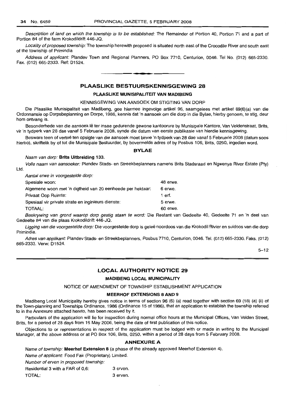Ltd.

Description of land on which the township is to be established: The Remainder of Portion 40, Portion 71 and a part of Portion 84 of the farm Krokodildrift 446-JQ.

Locality of proposed township: The township herewith proposed is situated north east of the Crocodile River and south east of the township of Primindia

Address of applicant: Plandev Town and Regional Planners, PO Box 7710, Centurion, 0046. Tel No. (012) 665-2330. Fax. (012) 665-2333. Ref: D1524.

**1\_.**

## **PLAASLIKE BESTUURSKENNISGEWING 28**

#### **PLAASLIKE MUNISIPALITEIT VAN MADIBENG**

#### KENNISGEWING VAN AANSOEK OM STIGTING VAN DORP

Die Plaaslike Munisipaliteit van Madibeng, gee hiermee ingevolge artikel 96, saamgelees met artikel 69(6)(a) van die Ordonnansie op Dorpsbeplanning en Dorpe, 1986, kennis dat 'n aansoek om die dorp in die Bylae, hierby genoem, te stig, deur hom ontvang is.

Besonderhede van die aansoek lê ter insae gedurende gewone kantoorure by Munisipale Kantore, Van Veldenstraat, Brits, vir 'n tydperk van 28 dae vanaf 5 Februarie 2008, synde die datum van eerste publikasie van hierdie kennisgewing.

Besware teen of vertoë ten opsigte van die aansoek moet binne 'n tydperk van 28 dae vanaf 5 Februarie 2008 (datum soos hierbo), skriftelik by of tot die Munisipale Bestuurder, by bovermelde adres of by Posbus 106, Brits, 0250, ingedien word.

#### **BYLAE**

#### Naam van dorp: **Brits Uitbreiding 133.**

Volle naam van aansoeker: Plandev Stads- en Streekbeplanners namens Brits Stadsraad en Ngwenya River Estate (Pty)

| Aantal erwe in voorgestelde dorp:                          |          |
|------------------------------------------------------------|----------|
| Spesiale woon:                                             | 48 erwe. |
| Algemene woon met 'n digtheid van 20 eenheede per hektaar: | 6 erwe.  |
| Privaat Oop Ruimte:                                        | 1 erf.   |
| Spesiaal vir private strate en inginieurs dienste:         | 5 erwe.  |
| TOTAAL:                                                    | 60 erwe. |
|                                                            |          |

Beskrywing van grond waarop dorp gestig staan te word: Die Restant van Gedeelte 40, Gedeelte 71 en 'n deel van Gedeelte 84 van die plaas Krokodildrift 446-JQ.

Ligging van die voorgestelde dorp: Die voorgestelde dorp is geleë noordoos van die Krokodil Rivier en suidoos van die dorp Primindia.

Adres van applikant: Plandev Stads- en Streekbeplanners, Posbus 7710, Centurion, 0046. Tel. (012) 665-2330. Faks. (012) 665-2333. Verw: D1524.

 $5 - 12$ 

## **LOCAL AUTHORITY NOTICE 29**

#### **MADIBENG LOCAL MUNICIPALITY**

NOTICE OF AMENDMENT OF TOWNSHIP ESTABLISHMENT APPLICATION

#### **MEERHOF EXTENSIONS BAND 9**

Madibeng Local Municipality hereby gives notice in terms of section 96 (6) (a) read together with section 69 (18) (a) (ii) of the Town-planning and Townships Ordinance, 1986 (Ordinance 15 of 1986), that an application to establish the township referred to in the Annexure attached hereto, has been received by it.

Particulars of the application will lie for inspection during normal office hours at the Municipal Offices, Van Velden Street, Brits, for a period of 28 days from 16 May 2006, being the date of first publication of this notice.

Objections to or representations in respect of the application must be lodged with or made in writing to the Municipal Manager, at the above address or at PO Box 106, Brits, 0250, within a period of 28 days from 5 February 2008.

## ANNEXURE A

Name of township: **Meerhof Extension B** (a phase of the already approved Meerhof Extension 4).

Name of applicant: Food Fair (Proprietary) Limited.

Number of erven in proposed township:

Residential 3 with a FAR of 0.6: 3 erven. TOTAL: 3 erven.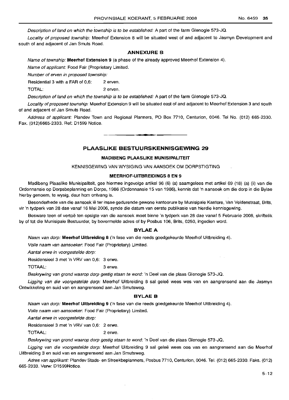Description of land on which the township is to be established: A part of the farm Glenogle 573-JQ.

Locality of proposed township: Meerhof Extension 8 will be situated west of and adjacent to Jasmyn Development and south of and adjacent of Jan Smuts Road.

#### **ANNEXURE B**

Name of township: **Meerhof Extension 9** (a phase of the already approved Meerhof Extension 4).

Name of applicant: Food Fair (Proprietary Limited.

Number of erven in proposed township:

Residential 3 with a FAR of 0,6: 2 erven.

TOTAL: 2 erven.

Description of land on which the township is to be established: A part of the farm Glenogle 573-JQ.

Locality of proposed township: Meerhof Extension 9 will be situated east of and adjacent to Meerhof Extension 3 and south of and adjacent of Jan Smuts Road.

Address of applicant: Plandev Town and Regional Planners, PO Box 7710, Centurion, 0046. Tel No. (012) 665-2330. Fax. (012)6665-2333. Ref: D1599 Notice.

**•**

#### **PLAASLIKE BESTULIRSKENNISGEWING 29**

## **MADIBENG PLAASLIKE MUNISIPALITEIT**

KENNISGEWING VAN WYSIGING VAN AANSOEK OM DORPSTIGTING

#### **MEERHOF-UITBREIDINGS B EN 9**

Madibeng Plaaslike Munisipaliteit, gee hiermee ingevolge artikel 96 (6) (a) saamgelees met artikel 69 (18) (a) (ii) van die Ordonnansie op Dorpsbeplanning en Dorpe, 1986 (Ordonnansie 15 van 1986), kennis dat 'n aansoek om die dorp in die Bylae hierby genoem, te wysig, deur hom ontvang is.

Besonderhede van die aansoek lê ter insae gedurende gewone kantoorure by Munisipale Kantore, Van Veldenstraat, Brits, vir 'n tydperk van 28 dae vanaf 16 Mei 2006, synde die datum van eerste publikasie van hierdie kennisgewing.

Besware teen of vertoë ten opsigte van die aansoek moet binne 'n tydperk van 28 dae vanaf 5 Februarie 2008, skriftelik by of tot die Munisipale Bestuurder, by bovermelde adres of by Posbus 106, Brits, 0250, ingedien word.

#### **BYLAEA**

Naam van dorp: Meerhof Uitbreiding 8 ('n fase van die reeds goedgekeurde Meerhof Uitbreiding 4).

Volle naam van aansoeker: Food Fair (Proprietary) Limited.

Aantal erwe in voorgestelde dorp:

Residensieel 3 met 'n VRV van 0,6: 3 erwe.

TOTAAL: 3 erwe.

Beskrywing van grond waarop dorp gestig staan te word: 'n Deel van die plaas Glenogle 573-JQ.

Ligging van die voorgestelde dorp: Meerhof Uitbreiding 8 sal geleë wees wes van en aangrensend aan die Jasmyn Ontwikkeling en suid van en aangrensend aan Jan Smutsweg.

#### **BYLAE B**

Naam van dorp: Meerhof Uitbreiding 9 ('n fase van die reeds goedgekeurde Meerhof Uitbreiding 4).

Volle naam van aansoeker: Food Fair (Proprietary) Limited.

Aantal erwe in voorgestelde dorp:

Residensieel 3 met 'n VRV van 0,6: 2 erwe.

TOTAAL: 2 erwe.

Beskrywing van grond waarop dorp gestig staan te word: 'n Deel van die plaas Glenogle 573-JQ.

Ligging van die voorgestelde dorp: Meerhof Uitbreiding 9 sal geleë wees oos van en aangrensend aan die Meerhof Uitbreiding 3 en suid van en aangrensend aan Jan Smutsweg.

Adres van applikant: Plandev Stads- en Streekbeplanners, Posbus 7710, Centurion, 0046. Tel. (012) 665-2330. Faks. (012) 665-2333. Verw: D1599Notice.

 $\alpha = \alpha$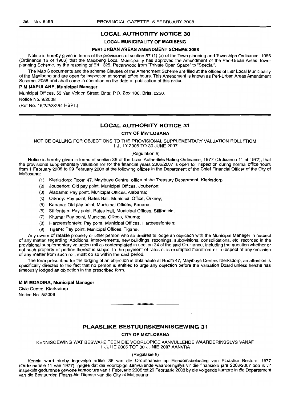## **LOCAL AUTHORITY NOTICE 30**

#### **LOCAL MUNICIPALITY OF MADIBENG**

#### **PERI-URBAN AREAS AMENDMENT SCHEME 2058**

Notice is hereby given in terms of the provisions of section 57 (1) (a) of the Town-planning and Townships Ordinance, 1986 (Ordinance 15 of 1986) that the Madibeng Local Municipality has approved the Amendment of the Peri-Urban Areas Townplanning Scheme, by the rezoning of **Erf** 1325, Pecanwood from "Private Open Space" to "Special".

The Map 3 documents and the scheme Clauses of the Amendment Scheme are filed at the offices of ther Local Municipality of the Madibeng and are open for inspection at normal office hours. This Amendment is known as Peri-Urban Areas Amendment Scheme, 2058 and shall come in operation on the date of publication of this notice.

#### P **M MAPULANE, Municipal Manager**

Municipal Offices, 53 Van Velden Street, Brits; P.O. Box 106, Brits, 0250.

Notice No. 9/2008

(Ref No. 15/2/2/3/254 HBPT.)

## **LOCAL AUTHORITY NOTICE 31**

#### **CITY OF MATLOSANA**

NOTICE CALLING FOR OBJECTIONS TO THE PROVISIONAL SUPPLEMENTARY VALUATION ROLL FROM 1 JULY 2006 TO 30 JUNE 2007

#### (Regulation 5)

Notice is hereby given in terms of section 36 of the Local Authorities Rating Ordinance, 1977 (Ordinance 11 of 1977), that the provisional supplementary valuation roll for the financial years 2006/2007 is open for inspection during normal office hours from 1 February 2008 to 29 February 2008 at the following offices in the Department of the Chief Financial Officer of the City of Matlosana:

- (1) Klerksdorp: Room 47, Mayibuye Centre, office of the Treasury Department, Klerksdorp;
- (2) Jouberton: Old pay point, Municipal Offices, Jouberton;
- (3) Alabama: Pay point, Municipal Offices, Alabama;
- (4) Orkney: Pay point, Rates Hall, Municipal Office, Orkney;
- (5) Kanana: Old pay point, Municipal Offices, Kanana;
- (6) Stilfontein: Pay point, Rates Hall, Municipal Offices, Stilfontein;
- (7) Khuma: Pay point, Municipal Offices, Khuma;
- (8) Hartbeesfontein: Pay point, Municipal Offices, Hartbeesfontein;
- (9) Tigane: Pay point, Municipal Offices, Tigane.

Any owner of ratable property or other person who so desires to lodge an objection with the Municipal Manager in respect of any matter, regarding: Additional improvements, new buildings, rezonings, subdivisions, consolidations, etc, recorded in the provisional supplementary valuation roll as contemplated in section 34 of the said Ordinance, including the question whether or not such property or portion thereof is subject to the payment of rates or is exempted therefrom or in respect of any omission of any matter from such roll, must do so within the said period.

The form prescribed for the lodging of an objection is obtainable at Room 47, Mayibuye Centre, Klerksdorp, an attention is specifically directed to the fact that no person is entitled to urge any objection before the Valuation Board unless he/she has timeously lodged an objection in the prescribed form.

#### M **M MOADIRA, Municipal Manager**

Civic Centre, Klerksdorp Notice No. 8/2008

#### **PLAASLIKE BESTUURSKENNISGEWING 31**

**-**

**CITY OF MATLOSANA**

KENNISGEWING WAT BESWARE TEEN DIE VOORLOPIGE AANVULLENDE WAARDERINGSLYS VANAF 1 JULIE 2006 TOT 30 JUNIE 2007 AANVRA

(Regulasie 5)

Kennis word hierby ingevolge artikel 36 van die Ordonnansie op Eiendomsbelasting van Plaaslike Besture, 1977 (Ordonnansie 11 van 1977), gegee dat die voorlopige aanvullende waarderingslys vir die finansiële jare 2006/2007 oop is vir inspeksie gedurende gewone kantoorure van 1 Februarie 2008 tot 29 Februarie 2008 by die volgende kantore in die Departement van die Bestuurder, Finansiele Dienste van die City of Matlosana: